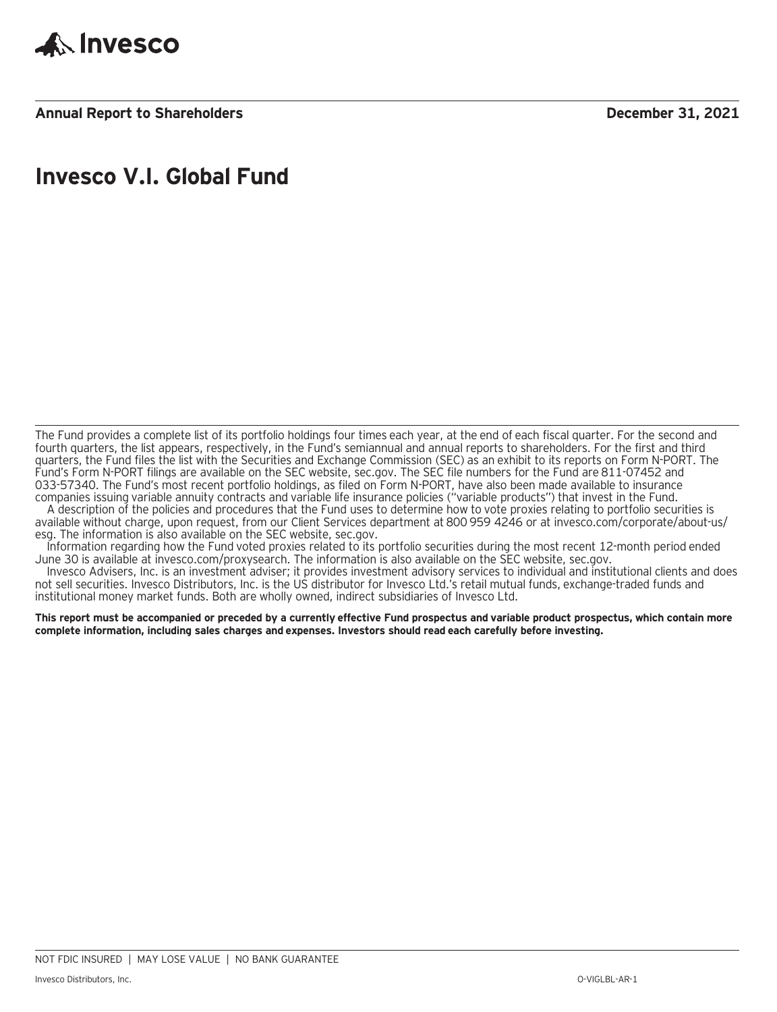

# **Invesco V.I. Global Fund**

The Fund provides a complete list of its portfolio holdings four times each year, at the end of each fiscal quarter. For the second and fourth quarters, the list appears, respectively, in the Fund's semiannual and annual reports to shareholders. For the first and third quarters, the Fund files the list with the Securities and Exchange Commission (SEC) as an exhibit to its reports on Form N-PORT. The Fund's Form N-PORT filings are available on the SEC website, sec.gov. The SEC file numbers for the Fund are 811-07452 and 033-57340. The Fund's most recent portfolio holdings, as filed on Form N-PORT, have also been made available to insurance companies issuing variable annuity contracts and variable life insurance policies ("variable products") that invest in the Fund.

A description of the policies and procedures that the Fund uses to determine how to vote proxies relating to portfolio securities is available without charge, upon request, from our Client Services department at 800 959 4246 or at invesco.com/corporate/about-us/ esg. The information is also available on the SEC website, sec.gov.

Information regarding how the Fund voted proxies related to its portfolio securities during the most recent 12-month period ended June 30 is available at invesco.com/proxysearch. The information is also available on the SEC website, sec.gov.

Invesco Advisers, Inc. is an investment adviser; it provides investment advisory services to individual and institutional clients and does not sell securities. Invesco Distributors, Inc. is the US distributor for Invesco Ltd.'s retail mutual funds, exchange-traded funds and institutional money market funds. Both are wholly owned, indirect subsidiaries of Invesco Ltd.

**This report must be accompanied or preceded by a currently effective Fund prospectus and variable product prospectus, which contain more complete information, including sales charges and expenses. Investors should read each carefully before investing.**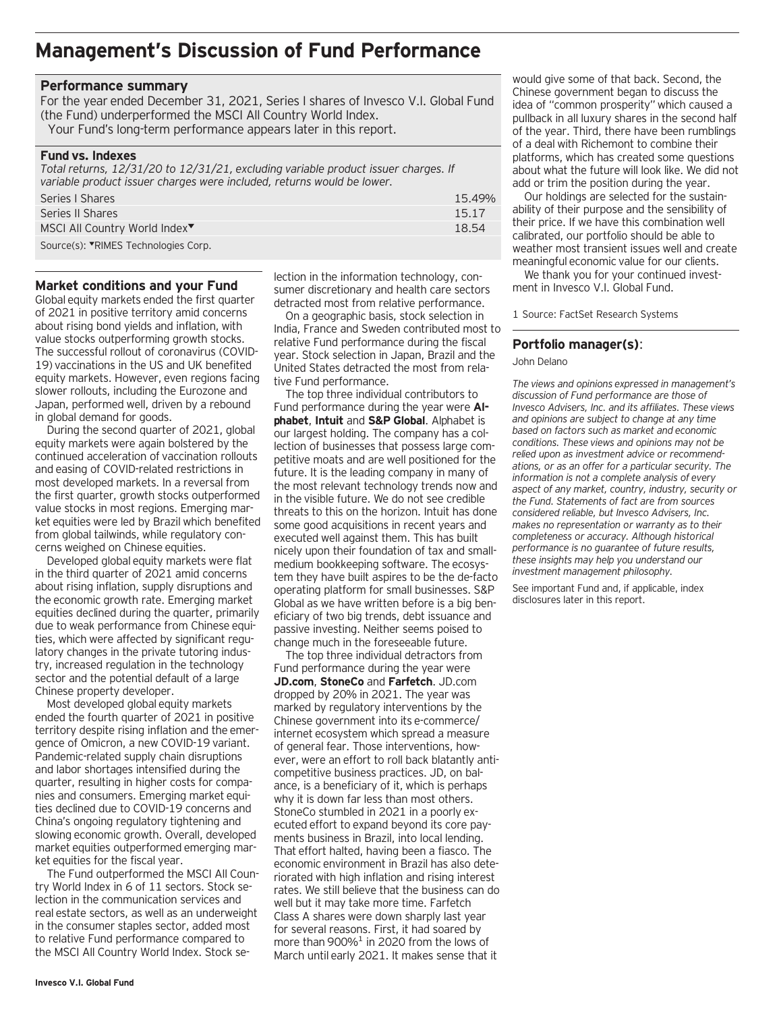# **Management's Discussion of Fund Performance**

### **Performance summary**

For the year ended December 31, 2021, Series I shares of Invesco V.I. Global Fund (the Fund) underperformed the MSCI All Country World Index.

Your Fund's long-term performance appears later in this report.

### **Fund vs. Indexes**

*Total returns, 12/31/20 to 12/31/21, excluding variable product issuer charges. If variable product issuer charges were included, returns would be lower.* Series I Shares 15.49% Series II Shares 15.17 MSCI All Country World Index<sup>▼</sup> 18.54

Source(s): VRIMES Technologies Corp.

### **Market conditions and your Fund**

Global equity markets ended the first quarter of 2021 in positive territory amid concerns about rising bond yields and inflation, with value stocks outperforming growth stocks. The successful rollout of coronavirus (COVID-19) vaccinations in the US and UK benefited equity markets. However, even regions facing slower rollouts, including the Eurozone and Japan, performed well, driven by a rebound in global demand for goods.

During the second quarter of 2021, global equity markets were again bolstered by the continued acceleration of vaccination rollouts and easing of COVID-related restrictions in most developed markets. In a reversal from the first quarter, growth stocks outperformed value stocks in most regions. Emerging market equities were led by Brazil which benefited from global tailwinds, while regulatory concerns weighed on Chinese equities.

Developed global equity markets were flat in the third quarter of 2021 amid concerns about rising inflation, supply disruptions and the economic growth rate. Emerging market equities declined during the quarter, primarily due to weak performance from Chinese equities, which were affected by significant regulatory changes in the private tutoring industry, increased regulation in the technology sector and the potential default of a large Chinese property developer.

Most developed global equity markets ended the fourth quarter of 2021 in positive territory despite rising inflation and the emergence of Omicron, a new COVID-19 variant. Pandemic-related supply chain disruptions and labor shortages intensified during the quarter, resulting in higher costs for companies and consumers. Emerging market equities declined due to COVID-19 concerns and China's ongoing regulatory tightening and slowing economic growth. Overall, developed market equities outperformed emerging market equities for the fiscal year.

The Fund outperformed the MSCI All Country World Index in 6 of 11 sectors. Stock selection in the communication services and real estate sectors, as well as an underweight in the consumer staples sector, added most to relative Fund performance compared to the MSCI All Country World Index. Stock selection in the information technology, consumer discretionary and health care sectors detracted most from relative performance.

On a geographic basis, stock selection in India, France and Sweden contributed most to relative Fund performance during the fiscal year. Stock selection in Japan, Brazil and the United States detracted the most from relative Fund performance.

The top three individual contributors to Fund performance during the year were **Alphabet**, **Intuit** and **S&P Global**. Alphabet is our largest holding. The company has a collection of businesses that possess large competitive moats and are well positioned for the future. It is the leading company in many of the most relevant technology trends now and in the visible future. We do not see credible threats to this on the horizon. Intuit has done some good acquisitions in recent years and executed well against them. This has built nicely upon their foundation of tax and smallmedium bookkeeping software. The ecosystem they have built aspires to be the de-facto operating platform for small businesses. S&P Global as we have written before is a big beneficiary of two big trends, debt issuance and passive investing. Neither seems poised to change much in the foreseeable future.

The top three individual detractors from Fund performance during the year were **JD.com**, **StoneCo** and **Farfetch**. JD.com dropped by 20% in 2021. The year was marked by regulatory interventions by the Chinese government into its e-commerce/ internet ecosystem which spread a measure of general fear. Those interventions, however, were an effort to roll back blatantly anticompetitive business practices. JD, on balance, is a beneficiary of it, which is perhaps why it is down far less than most others. StoneCo stumbled in 2021 in a poorly executed effort to expand beyond its core payments business in Brazil, into local lending. That effort halted, having been a fiasco. The economic environment in Brazil has also deteriorated with high inflation and rising interest rates. We still believe that the business can do well but it may take more time. Farfetch Class A shares were down sharply last year for several reasons. First, it had soared by more than 900% $^1$  in 2020 from the lows of March until early 2021. It makes sense that it

would give some of that back. Second, the Chinese government began to discuss the idea of "common prosperity" which caused a pullback in all luxury shares in the second half of the year. Third, there have been rumblings of a deal with Richemont to combine their platforms, which has created some questions about what the future will look like. We did not add or trim the position during the year.

Our holdings are selected for the sustainability of their purpose and the sensibility of their price. If we have this combination well calibrated, our portfolio should be able to weather most transient issues well and create meaningful economic value for our clients.

We thank you for your continued investment in Invesco V.I. Global Fund.

1 Source: FactSet Research Systems

### **Portfolio manager(s)**:

John Delano

*The views and opinions expressed in management's discussion of Fund performance are those of Invesco Advisers, Inc. and its affiliates. These views and opinions are subject to change at any time based on factors such as market and economic conditions. These views and opinions may not be relied upon as investment advice or recommendations, or as an offer for a particular security. The information is not a complete analysis of every aspect of any market, country, industry, security or the Fund. Statements of fact are from sources considered reliable, but Invesco Advisers, Inc. makes no representation or warranty as to their completeness or accuracy. Although historical performance is no guarantee of future results, these insights may help you understand our investment management philosophy.*

See important Fund and, if applicable, index disclosures later in this report.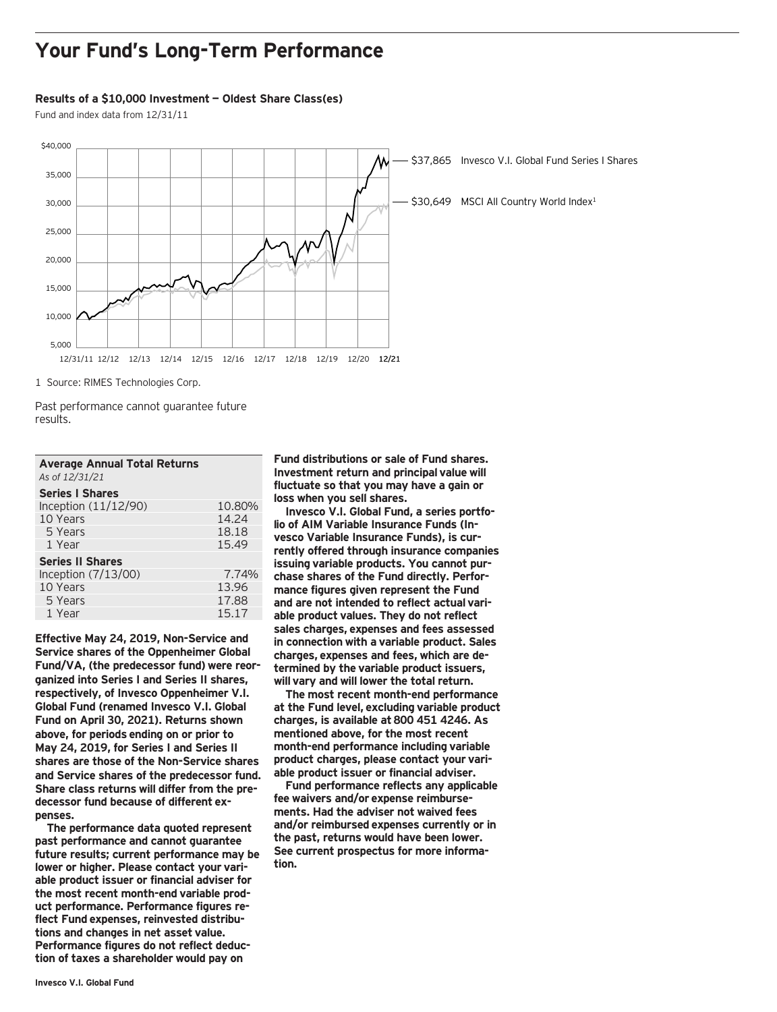# **Your Fund's Long-Term Performance**

### **Results of a \$10,000 Investment — Oldest Share Class(es)**

Fund and index data from 12/31/11



1 Source: RIMES Technologies Corp.

Past performance cannot guarantee future results.

| <b>Average Annual Total Returns</b><br>As of 12/31/21 |        |
|-------------------------------------------------------|--------|
| <b>Series I Shares</b>                                |        |
| Inception $(11/12/90)$                                | 10.80% |
| 10 Years                                              | 14.24  |
| 5 Years                                               | 18.18  |
| 1 Year                                                | 15.49  |
| <b>Series II Shares</b>                               |        |
| Inception (7/13/00)                                   | 7.74%  |
| 10 Years                                              | 13.96  |
| 5 Years                                               | 17.88  |
| 1 Year                                                | 15.17  |

**Effective May 24, 2019, Non-Service and Service shares of the Oppenheimer Global Fund/VA, (the predecessor fund) were reorganized into Series I and Series II shares, respectively, of Invesco Oppenheimer V.I. Global Fund (renamed Invesco V.I. Global Fund on April 30, 2021). Returns shown above, for periods ending on or prior to May 24, 2019, for Series I and Series II shares are those of the Non-Service shares and Service shares of the predecessor fund. Share class returns will differ from the predecessor fund because of different expenses.**

**The performance data quoted represent past performance and cannot guarantee future results; current performance may be lower or higher. Please contact your variable product issuer or financial adviser for the most recent month-end variable product performance. Performance figures reflect Fund expenses, reinvested distributions and changes in net asset value. Performance figures do not reflect deduction of taxes a shareholder would pay on**

**Fund distributions or sale of Fund shares. Investment return and principal value will fluctuate so that you may have a gain or loss when you sell shares.**

**Invesco V.I. Global Fund, a series portfolio of AIM Variable Insurance Funds (Invesco Variable Insurance Funds), is currently offered through insurance companies issuing variable products. You cannot purchase shares of the Fund directly. Performance figures given represent the Fund and are not intended to reflect actual variable product values. They do not reflect sales charges, expenses and fees assessed in connection with a variable product. Sales charges, expenses and fees, which are determined by the variable product issuers, will vary and will lower the total return.**

**The most recent month-end performance at the Fund level, excluding variable product charges, is available at 800 451 4246. As mentioned above, for the most recent month-end performance including variable product charges, please contact your variable product issuer or financial adviser.**

**Fund performance reflects any applicable fee waivers and/or expense reimbursements. Had the adviser not waived fees and/or reimbursed expenses currently or in the past, returns would have been lower. See current prospectus for more information.**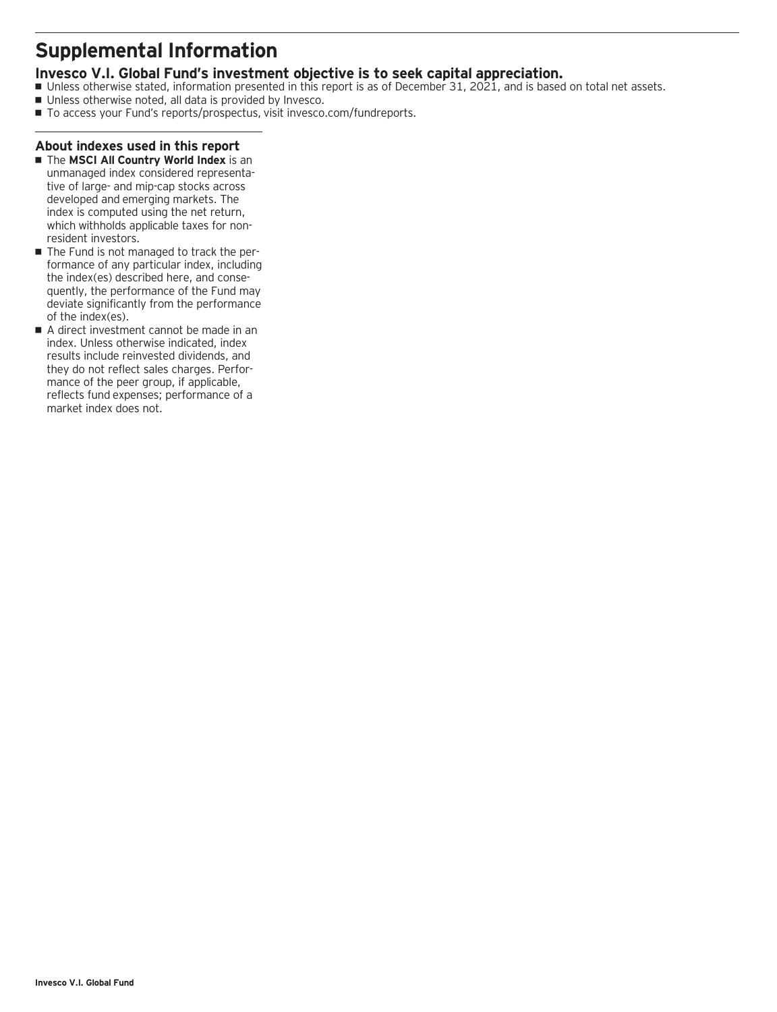# **Supplemental Information**

# **Invesco V.I. Global Fund's investment objective is to seek capital appreciation.**

- Unless otherwise stated, information presented in this report is as of December 31, 2021, and is based on total net assets.
- Unless otherwise noted, all data is provided by Invesco.
- To access your Fund's reports/prospectus, visit invesco.com/fundreports.

# **About indexes used in this report**

- **The MSCI All Country World Index** is an unmanaged index considered representative of large- and mip-cap stocks across developed and emerging markets. The index is computed using the net return, which withholds applicable taxes for nonresident investors.
- The Fund is not managed to track the performance of any particular index, including the index(es) described here, and consequently, the performance of the Fund may deviate significantly from the performance of the index(es).
- A direct investment cannot be made in an index. Unless otherwise indicated, index results include reinvested dividends, and they do not reflect sales charges. Performance of the peer group, if applicable, reflects fund expenses; performance of a market index does not.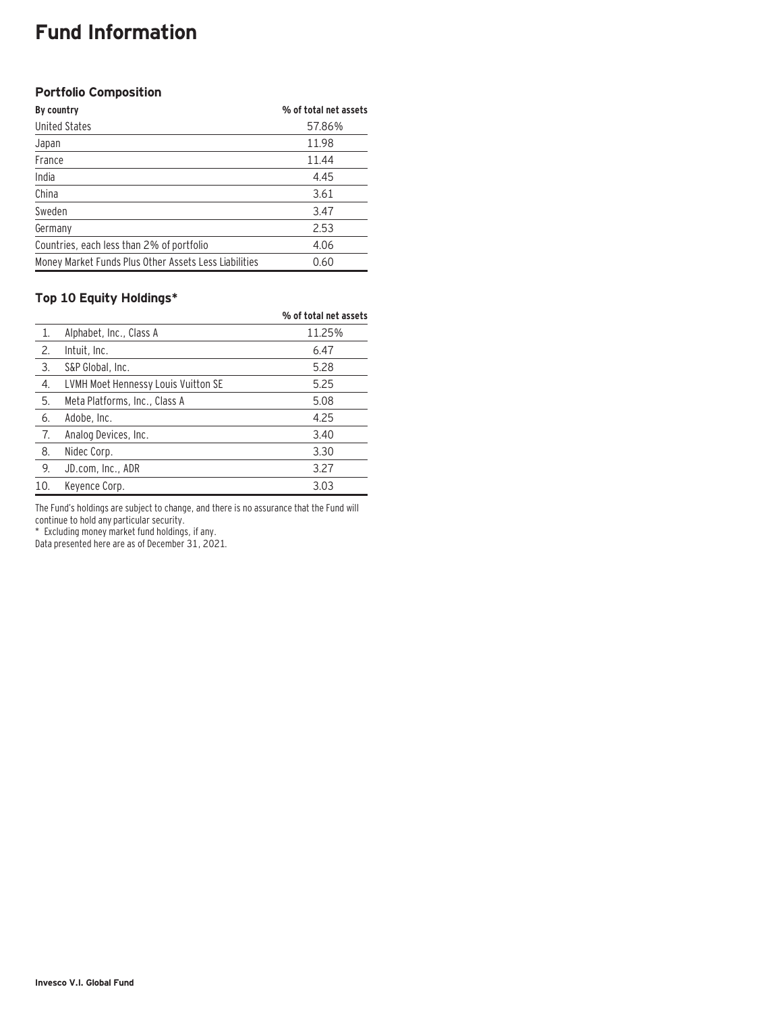# **Fund Information**

# **Portfolio Composition**

| By country                                            | % of total net assets |
|-------------------------------------------------------|-----------------------|
| <b>United States</b>                                  | 57.86%                |
| Japan                                                 | 11.98                 |
| France                                                | 11.44                 |
| India                                                 | 4.45                  |
| China                                                 | 3.61                  |
| Sweden                                                | 3.47                  |
| Germany                                               | 2.53                  |
| Countries, each less than 2% of portfolio             | 4.06                  |
| Money Market Funds Plus Other Assets Less Liabilities | 0.60                  |

## **Top 10 Equity Holdings\***

|     |                                     | % of total net assets |
|-----|-------------------------------------|-----------------------|
| 1.  | Alphabet, Inc., Class A             | 11.25%                |
| 2.  | Intuit, Inc.                        | 6.47                  |
| 3.  | S&P Global, Inc.                    | 5.28                  |
| 4.  | LVMH Moet Hennessy Louis Vuitton SE | 5.25                  |
| 5.  | Meta Platforms, Inc., Class A       | 5.08                  |
| 6.  | Adobe, Inc.                         | 4.25                  |
| 7.  | Analog Devices, Inc.                | 3.40                  |
| 8.  | Nidec Corp.                         | 3.30                  |
| 9.  | JD.com, Inc., ADR                   | 3.27                  |
| 10. | Keyence Corp.                       | 3.03                  |

The Fund's holdings are subject to change, and there is no assurance that the Fund will continue to hold any particular security.

\* Excluding money market fund holdings, if any.

Data presented here are as of December 31, 2021.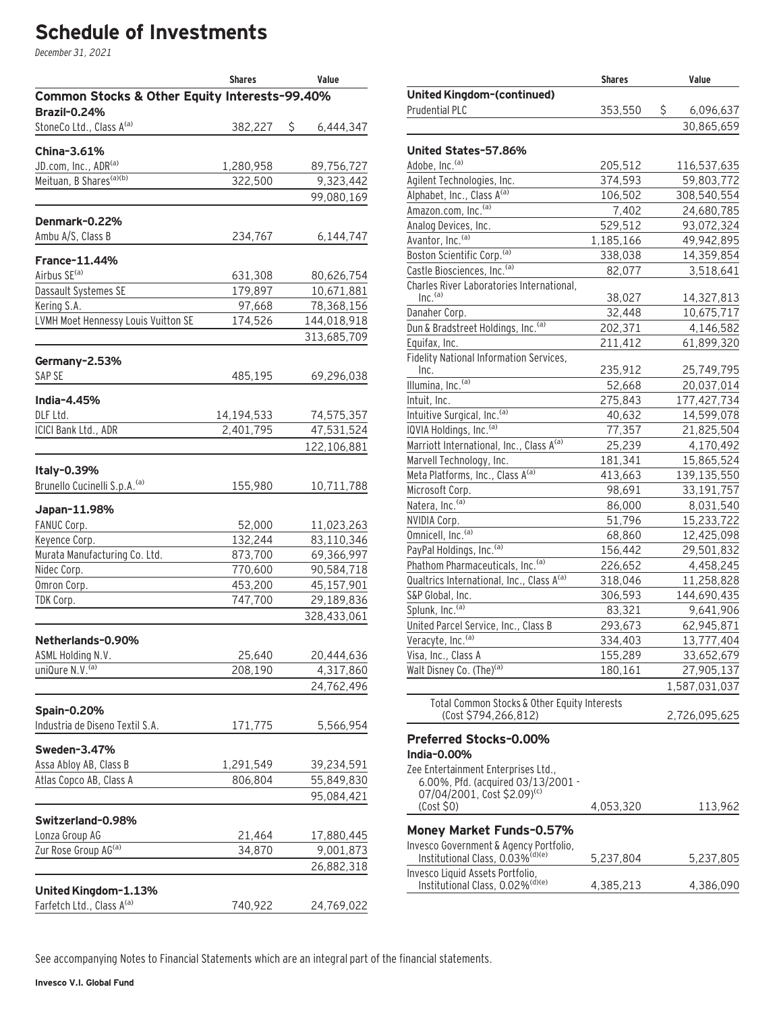# **Schedule of Investments**

December 31, 2021

|                                               | <b>Shares</b> | Value           |
|-----------------------------------------------|---------------|-----------------|
| Common Stocks & Other Equity Interests-99.40% |               |                 |
| <b>Brazil-0.24%</b>                           |               |                 |
| StoneCo Ltd., Class A <sup>(a)</sup>          | 382,227       | \$<br>6,444,347 |
| China-3.61%                                   |               |                 |
| JD.com, Inc., ADR <sup>(a)</sup>              | 1,280,958     | 89,756,727      |
| Meituan, B Shares <sup>(a)(b)</sup>           | 322,500       | 9,323,442       |
|                                               |               | 99,080,169      |
|                                               |               |                 |
| Denmark-0.22%                                 |               |                 |
| Ambu A/S, Class B                             | 234,767       | 6,144,747       |
| France-11.44%                                 |               |                 |
| Airbus SE <sup>(a)</sup>                      | 631,308       | 80,626,754      |
| Dassault Systemes SE                          | 179,897       | 10,671,881      |
| Kering S.A.                                   | 97,668        | 78,368,156      |
| LVMH Moet Hennessy Louis Vuitton SE           | 174,526       | 144,018,918     |
|                                               |               | 313,685,709     |
| Germany-2.53%                                 |               |                 |
| SAP SE                                        | 485,195       | 69,296,038      |
|                                               |               |                 |
| India-4.45%                                   |               |                 |
| DLF Ltd.                                      | 14,194,533    | 74,575,357      |
| ICICI Bank Ltd., ADR                          | 2,401,795     | 47,531,524      |
|                                               |               | 122,106,881     |
| Italy-0.39%                                   |               |                 |
| Brunello Cucinelli S.p.A. <sup>(a)</sup>      | 155,980       | 10,711,788      |
| Japan-11.98%                                  |               |                 |
| FANUC Corp.                                   | 52,000        | 11,023,263      |
| Keyence Corp.                                 | 132,244       | 83,110,346      |
| Murata Manufacturing Co. Ltd.                 | 873,700       | 69,366,997      |
| Nidec Corp.                                   | 770,600       | 90,584,718      |
| Omron Corp.                                   | 453,200       | 45,157,901      |
| TDK Corp.                                     | 747,700       | 29,189,836      |
|                                               |               | 328,433,061     |
|                                               |               |                 |
| Netherlands-0.90%                             |               |                 |
| ASML Holding N.V.                             | 25,640        | 20,444,636      |
| uniQure N.V. <sup>(a)</sup>                   | 208,190       | 4,317,860       |
|                                               |               | 24,762,496      |
| Spain-0.20%                                   |               |                 |
| Industria de Diseno Textil S.A.               | 171,775       | 5,566,954       |
| Sweden-3.47%                                  |               |                 |
| Assa Abloy AB, Class B                        | 1,291,549     | 39,234,591      |
| Atlas Copco AB, Class A                       | 806,804       | 55,849,830      |
|                                               |               | 95,084,421      |
|                                               |               |                 |
| Switzerland-0.98%                             |               |                 |
| Lonza Group AG                                | 21,464        | 17,880,445      |
| Zur Rose Group AG(a)                          | 34,870        | 9,001,873       |
|                                               |               | 26,882,318      |
| United Kingdom-1.13%                          |               |                 |
| Farfetch Ltd., Class A <sup>(a)</sup>         | 740,922       | 24,769,022      |

|                                                                                        | <b>Shares</b> | Value           |
|----------------------------------------------------------------------------------------|---------------|-----------------|
| United Kingdom-(continued)                                                             |               |                 |
| Prudential PLC                                                                         | 353,550       | \$<br>6,096,637 |
|                                                                                        |               | 30,865,659      |
|                                                                                        |               |                 |
| United States-57.86%                                                                   |               |                 |
| Adobe, Inc. <sup>(a)</sup>                                                             | 205,512       | 116,537,635     |
| Agilent Technologies, Inc.                                                             | 374,593       | 59,803,772      |
| Alphabet, Inc., Class A <sup>(a)</sup><br>Amazon.com, Inc. <sup>(a)</sup>              | 106,502       | 308,540,554     |
|                                                                                        | 7,402         | 24,680,785      |
| Analog Devices, Inc.                                                                   | 529,512       | 93,072,324      |
| Avantor, Inc. <sup>(a)</sup>                                                           | 1,185,166     | 49,942,895      |
| Boston Scientific Corp. <sup>(a)</sup>                                                 | 338,038       | 14,359,854      |
| Castle Biosciences, Inc. <sup>(a)</sup>                                                | 82,077        | 3,518,641       |
| Charles River Laboratories International,<br>Inc. <sup>(a)</sup>                       | 38,027        | 14,327,813      |
| Danaher Corp.                                                                          | 32,448        | 10,675,717      |
| Dun & Bradstreet Holdings, Inc. (a)                                                    | 202,371       | 4,146,582       |
| Equifax, Inc.                                                                          | 211,412       | 61,899,320      |
| Fidelity National Information Services,                                                |               |                 |
| Inc.                                                                                   | 235,912       | 25,749,795      |
| Illumina, Inc. <sup>(a)</sup>                                                          | 52,668        | 20,037,014      |
| Intuit, Inc.                                                                           | 275,843       | 177,427,734     |
| Intuitive Surgical, Inc. <sup>(a)</sup>                                                | 40,632        | 14,599,078      |
| IQVIA Holdings, Inc. <sup>(a)</sup>                                                    | 77,357        | 21,825,504      |
| Marriott International, Inc., Class A(a)                                               | 25,239        | 4,170,492       |
| Marvell Technology, Inc.                                                               | 181,341       | 15,865,524      |
| Meta Platforms, Inc., Class A(a)                                                       | 413,663       | 139,135,550     |
| Microsoft Corp.                                                                        | 98,691        | 33,191,757      |
| Natera, Inc. <sup>(a)</sup>                                                            | 86,000        | 8,031,540       |
| NVIDIA Corp.                                                                           | 51,796        | 15,233,722      |
| Omnicell, Inc. <sup>(a)</sup>                                                          | 68,860        | 12,425,098      |
| PayPal Holdings, Inc. (a)                                                              | 156,442       | 29,501,832      |
| Phathom Pharmaceuticals, Inc. <sup>(a)</sup>                                           | 226,652       | 4,458,245       |
| Qualtrics International, Inc., Class A(a)                                              | 318,046       | 11,258,828      |
| S&P Global, Inc.                                                                       | 306,593       | 144,690,435     |
| Splunk, Inc. <sup>(a)</sup>                                                            | 83,321        | 9,641,906       |
| United Parcel Service, Inc., Class B                                                   | 293,673       | 62,945,871      |
| Veracyte, Inc. <sup>(a)</sup>                                                          | 334,403       | 13,777,404      |
| Visa, Inc., Class A                                                                    | 155,289       | 33,652,679      |
| Walt Disney Co. (The) <sup>(a)</sup>                                                   | 180,161       | 27,905,137      |
|                                                                                        |               | 1,587,031,037   |
| Total Common Stocks & Other Equity Interests                                           |               |                 |
| (Cost \$794,266,812)                                                                   |               | 2,726,095,625   |
|                                                                                        |               |                 |
| <b>Preferred Stocks-0.00%</b><br>India-0.00%                                           |               |                 |
| Zee Entertainment Enterprises Ltd.,                                                    |               |                 |
| 6.00%, Pfd. (acquired 03/13/2001 -                                                     |               |                 |
| 07/04/2001, Cost \$2.09)(c)                                                            |               |                 |
| (Cost \$0)                                                                             | 4,053,320     | 113,962         |
| <b>Money Market Funds-0.57%</b>                                                        |               |                 |
| Invesco Government & Agency Portfolio,<br>Institutional Class, 0.03% <sup>(d)(e)</sup> | 5,237,804     | 5,237,805       |
| Invesco Liquid Assets Portfolio,<br>Institutional Class, 0.02% <sup>(d)(e)</sup>       | 4,385,213     | 4,386,090       |
|                                                                                        |               |                 |

See accompanying Notes to Financial Statements which are an integral part of the financial statements.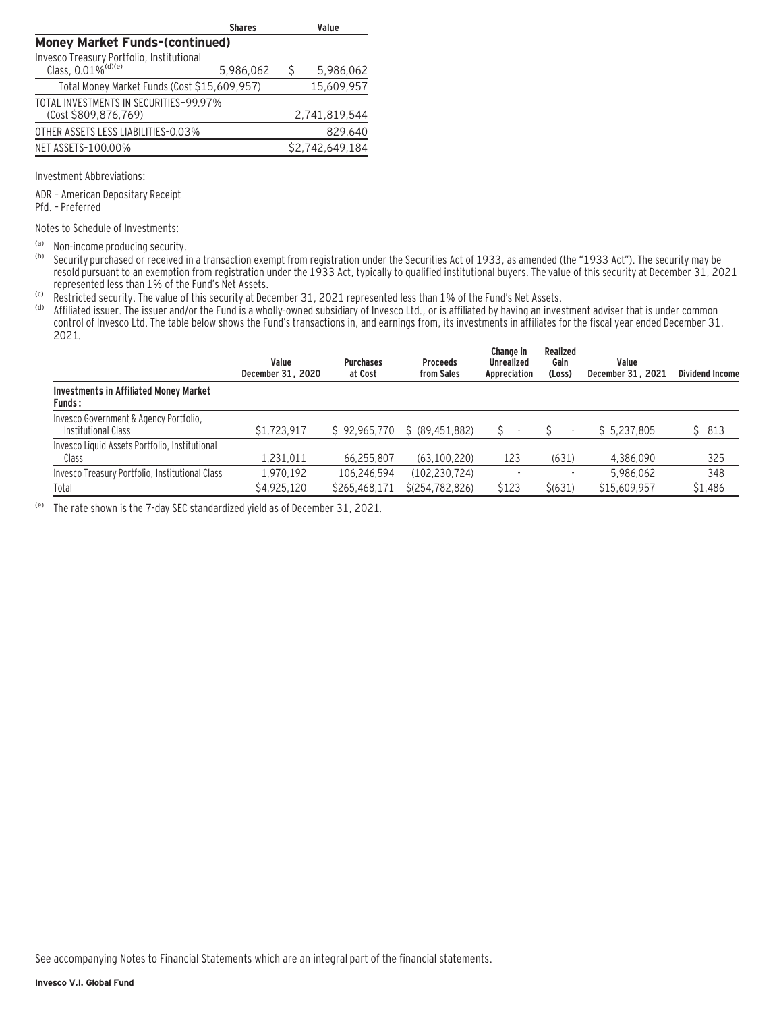|                                              | <b>Shares</b> |              | Value           |
|----------------------------------------------|---------------|--------------|-----------------|
| <b>Money Market Funds-(continued)</b>        |               |              |                 |
| Invesco Treasury Portfolio, Institutional    |               |              |                 |
| Class, 0.01% <sup>(d)(e)</sup>               | 5,986,062     | <sup>S</sup> | 5,986,062       |
| Total Money Market Funds (Cost \$15,609,957) |               |              | 15,609,957      |
| TOTAL INVESTMENTS IN SECURITIES-99.97%       |               |              |                 |
| (Cost \$809.876.769)                         |               |              | 2,741,819,544   |
| OTHER ASSETS LESS LIABILITIES-0.03%          |               |              | 829.640         |
| NET ASSETS-100.00%                           |               |              | \$2,742,649,184 |

Investment Abbreviations:

ADR – American Depositary Receipt Pfd. – Preferred

Notes to Schedule of Investments:

(a) Non-income producing security.<br>(b) Security purchased or received in

Security purchased or received in a transaction exempt from registration under the Securities Act of 1933, as amended (the "1933 Act"). The security may be resold pursuant to an exemption from registration under the 1933 Act, typically to qualified institutional buyers. The value of this security at December 31, 2021 represented less than 1% of the Fund's Net Assets.

(c) Restricted security. The value of this security at December 31, 2021 represented less than 1% of the Fund's Net Assets.

Affiliated issuer. The issuer and/or the Fund is a wholly-owned subsidiary of Invesco Ltd., or is affiliated by having an investment adviser that is under common control of Invesco Ltd. The table below shows the Fund's transactions in, and earnings from, its investments in affiliates for the fiscal year ended December 31, 2021.

|                                                                | Value<br>December 31, 2020 | <b>Purchases</b><br>at Cost | <b>Proceeds</b><br>from Sales | Change in<br><b>Unrealized</b><br>Appreciation | Realized<br>Gain<br>(Loss) | Value<br>December 31, 2021 | <b>Dividend Income</b> |
|----------------------------------------------------------------|----------------------------|-----------------------------|-------------------------------|------------------------------------------------|----------------------------|----------------------------|------------------------|
| <b>Investments in Affiliated Money Market</b><br><b>Funds:</b> |                            |                             |                               |                                                |                            |                            |                        |
| Invesco Government & Agency Portfolio,<br>Institutional Class  | \$1,723,917                | \$92,965,770                | \$ (89,451,882)               |                                                |                            | \$5.237.805                | \$813                  |
| Invesco Liquid Assets Portfolio, Institutional<br>Class        | 1.231.011                  | 66.255.807                  | (63.100.220)                  | 123                                            | (631)                      | 4.386.090                  | 325                    |
| Invesco Treasury Portfolio, Institutional Class                | 1.970.192                  | 106,246,594                 | (102, 230, 724)               |                                                |                            | 5.986.062                  | 348                    |
| Total                                                          | \$4,925,120                | \$265,468,171               | \$(254, 782, 826)             | \$123                                          | \$(631)                    | \$15,609.957               | \$1,486                |

(e) The rate shown is the 7-day SEC standardized yield as of December 31, 2021.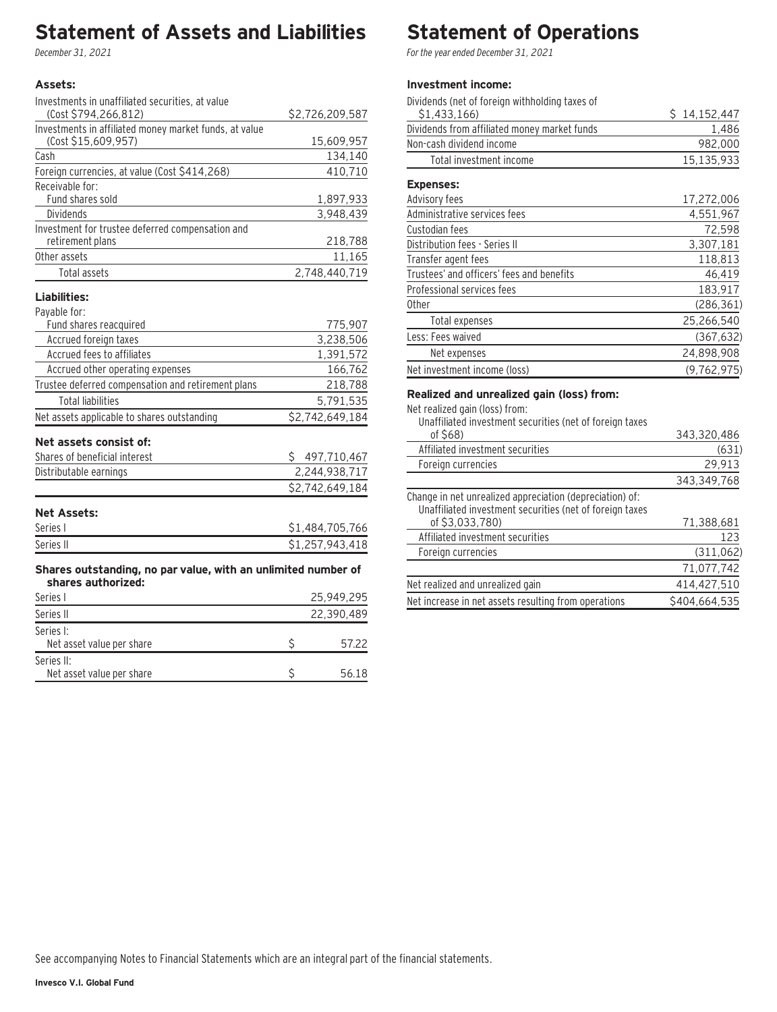# **Statement of Assets and Liabilities**

December 31, 2021

### **Assets:**

| Investments in unaffiliated securities, at value       |                 |
|--------------------------------------------------------|-----------------|
| (Cost \$794,266,812)                                   | \$2,726,209,587 |
| Investments in affiliated money market funds, at value |                 |
| (Cost \$15,609,957)                                    | 15,609,957      |
| Cash                                                   | 134,140         |
| Foreign currencies, at value (Cost \$414,268)          | 410,710         |
| Receivable for:                                        |                 |
| Fund shares sold                                       | 1,897,933       |
| Dividends                                              | 3,948,439       |
| Investment for trustee deferred compensation and       |                 |
| retirement plans                                       | 218,788         |
| Other assets                                           | 11,165          |
| Total assets                                           | 2,748,440,719   |
| Liabilities:                                           |                 |
| Payable for:                                           |                 |
| Fund shares reacquired                                 | 775,907         |
| Accrued foreign taxes                                  | 3,238,506       |
| Accrued fees to affiliates                             | 1,391,572       |
| Accrued other operating expenses                       | 166,762         |
| Trustee deferred compensation and retirement plans     | 218,788         |
| <b>Total liabilities</b>                               | 5,791,535       |
| Net assets applicable to shares outstanding            | \$2,742,649,184 |
|                                                        |                 |

# **Net assets consist of:**

| Shares of beneficial interest | 497.710.467     |
|-------------------------------|-----------------|
| Distributable earnings        | 2.244.938.717   |
|                               | \$2.742.649.184 |

### **Net Assets:**

| Series I  | 1,484,705,766   |
|-----------|-----------------|
| Series II | \$1,257,943,418 |

#### **Shares outstanding, no par value, with an unlimited number of shares authorized:**

| Series I                                |  | 25.949.295 |
|-----------------------------------------|--|------------|
| Series II                               |  | 22.390.489 |
| Series I:<br>Net asset value per share  |  | 57.22      |
| Series II:<br>Net asset value per share |  | 56.18      |

# **Statement of Operations**

For the year ended December 31, 2021

### **Investment income:**

| Dividends (net of foreign withholding taxes of |               |
|------------------------------------------------|---------------|
| \$1,433,166)                                   | \$14,152,447  |
| Dividends from affiliated money market funds   | 1,486         |
| Non-cash dividend income                       | 982,000       |
| Total investment income                        | 15,135,933    |
| <b>Expenses:</b>                               |               |
| Advisory fees                                  | 17,272,006    |
| Administrative services fees                   | 4,551,967     |
| Custodian fees                                 | 72,598        |
| Distribution fees - Series II                  | 3,307,181     |
| Transfer agent fees                            | 118,813       |
| Trustees' and officers' fees and benefits      | 46,419        |
| Professional services fees                     | 183,917       |
| 0ther                                          | (286, 361)    |
| Total expenses                                 | 25,266,540    |
| Less: Fees waived                              | (367, 632)    |
| Net expenses                                   | 24,898,908    |
| Net investment income (loss)                   | (9, 762, 975) |

### **Realized and unrealized gain (loss) from:**

| Net realized gain (loss) from:<br>Unaffiliated investment securities (net of foreign taxes                           |               |
|----------------------------------------------------------------------------------------------------------------------|---------------|
| of \$68)                                                                                                             | 343,320,486   |
| Affiliated investment securities                                                                                     | (631)         |
| Foreign currencies                                                                                                   | 29,913        |
|                                                                                                                      | 343,349,768   |
| Change in net unrealized appreciation (depreciation) of:<br>Unaffiliated investment securities (net of foreign taxes |               |
| of \$3.033.780)                                                                                                      | 71,388,681    |
| Affiliated investment securities                                                                                     | 123           |
| Foreign currencies                                                                                                   | (311, 062)    |
|                                                                                                                      | 71,077,742    |
| Net realized and unrealized gain                                                                                     | 414,427,510   |
| Net increase in net assets resulting from operations                                                                 | \$404.664.535 |
|                                                                                                                      |               |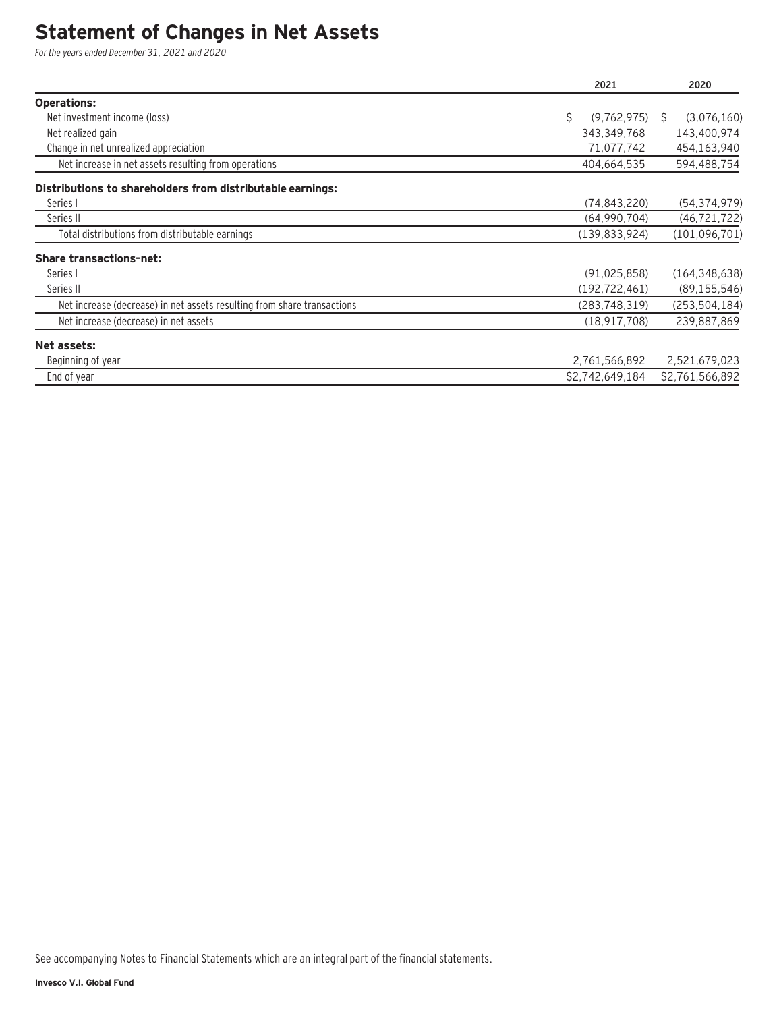# **Statement of Changes in Net Assets**

For the years ended December 31, 2021 and 2020

|                                                                         | 2021              | 2020              |
|-------------------------------------------------------------------------|-------------------|-------------------|
| <b>Operations:</b>                                                      |                   |                   |
| Net investment income (loss)                                            | \$<br>(9,762,975) | (3,076,160)<br>S. |
| Net realized gain                                                       | 343,349,768       | 143,400,974       |
| Change in net unrealized appreciation                                   | 71,077,742        | 454,163,940       |
| Net increase in net assets resulting from operations                    | 404,664,535       | 594,488,754       |
| Distributions to shareholders from distributable earnings:              |                   |                   |
| Series I                                                                | (74, 843, 220)    | (54, 374, 979)    |
| Series II                                                               | (64,990,704)      | (46, 721, 722)    |
| Total distributions from distributable earnings                         | (139, 833, 924)   | (101, 096, 701)   |
| <b>Share transactions-net:</b>                                          |                   |                   |
| Series I                                                                | (91, 025, 858)    | (164, 348, 638)   |
| Series II                                                               | (192, 722, 461)   | (89, 155, 546)    |
| Net increase (decrease) in net assets resulting from share transactions | (283, 748, 319)   | (253, 504, 184)   |
| Net increase (decrease) in net assets                                   | (18, 917, 708)    | 239,887,869       |
| Net assets:                                                             |                   |                   |
| Beginning of year                                                       | 2,761,566,892     | 2,521,679,023     |
| End of year                                                             | \$2,742,649,184   | \$2,761,566,892   |

See accompanying Notes to Financial Statements which are an integral part of the financial statements.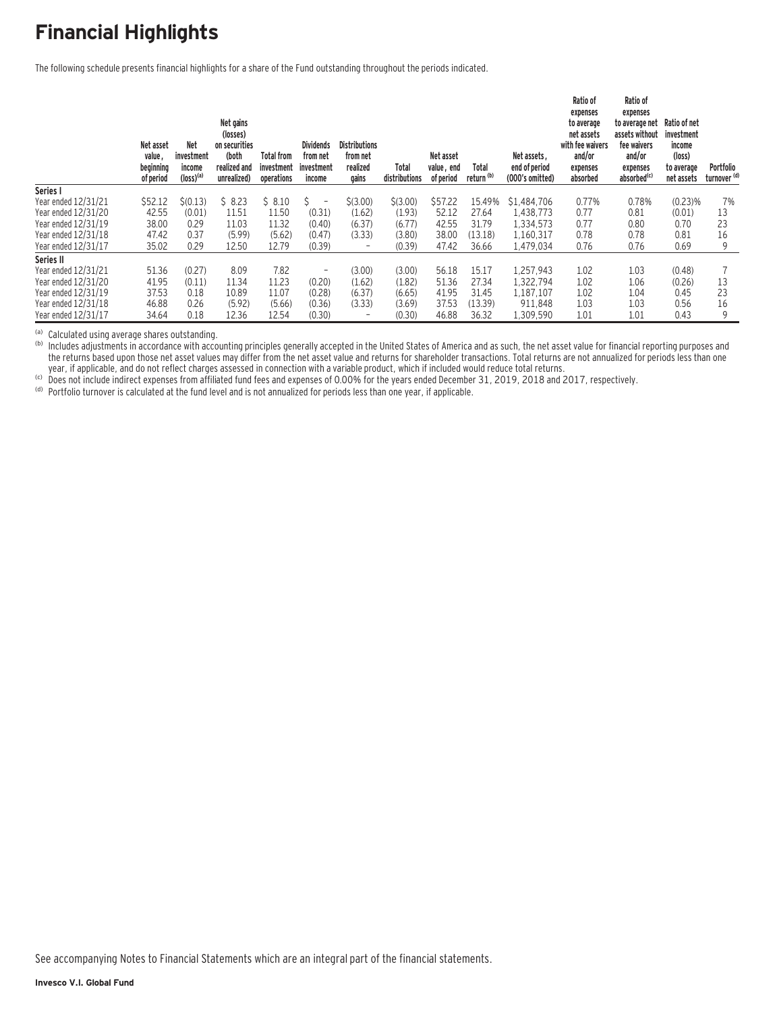# **Financial Highlights**

The following schedule presents financial highlights for a share of the Fund outstanding throughout the periods indicated.

|                     | Net asset<br>value,<br>beginning<br>of period | <b>Net</b><br>investment<br>income<br>$(logs)$ <sup>(a)</sup> | Net gains<br>(losses)<br>on securities<br>(both<br>realized and<br>unrealized) | <b>Total from</b><br>investment<br>operations | <b>Dividends</b><br>from net<br>investment<br>income | <b>Distributions</b><br>from net<br>realized<br>gains | Total<br>distributions | Net asset<br>value, end<br>of period | Total<br>return <sup>(b)</sup> | Net assets.<br>end of period<br>(000's omitted) | Ratio of<br>expenses<br>to average<br>net assets<br>with fee waivers<br>and/or<br>expenses<br>absorbed | Ratio of<br>expenses<br>to average net<br>assets without<br>fee waivers<br>and/or<br>expenses<br>absorbed <sup>(c)</sup> | Ratio of net<br>investment<br>income<br>(loss)<br>to average<br>net assets | Portfolio<br>turnover <sup>(d)</sup> |
|---------------------|-----------------------------------------------|---------------------------------------------------------------|--------------------------------------------------------------------------------|-----------------------------------------------|------------------------------------------------------|-------------------------------------------------------|------------------------|--------------------------------------|--------------------------------|-------------------------------------------------|--------------------------------------------------------------------------------------------------------|--------------------------------------------------------------------------------------------------------------------------|----------------------------------------------------------------------------|--------------------------------------|
| Series I            |                                               |                                                               |                                                                                |                                               |                                                      |                                                       |                        |                                      |                                |                                                 |                                                                                                        |                                                                                                                          |                                                                            |                                      |
| Year ended 12/31/21 | \$52.12                                       | $\zeta(0.13)$                                                 | \$8.23                                                                         | \$8.10                                        | Ŝ.<br>$\overline{\phantom{a}}$                       | \$(3.00)                                              | \$(3.00)               | \$57.22                              | 15.49%                         | \$1.484.706                                     | 0.77%                                                                                                  | 0.78%                                                                                                                    | (0.23)%                                                                    | 7%                                   |
| Year ended 12/31/20 | 42.55                                         | (0.01)                                                        | 11.51                                                                          | 11.50                                         | (0.31)                                               | (1.62)                                                | (1.93)                 | 52.12                                | 27.64                          | 1.438.773                                       | 0.77                                                                                                   | 0.81                                                                                                                     | (0.01)                                                                     | 13                                   |
| Year ended 12/31/19 | 38.00                                         | 0.29                                                          | 11.03                                                                          | 11.32                                         | (0.40)                                               | (6.37)                                                | (6.77)                 | 42.55                                | 31.79                          | 1,334,573                                       | 0.77                                                                                                   | 0.80                                                                                                                     | 0.70                                                                       | 23                                   |
| Year ended 12/31/18 | 47.42                                         | 0.37                                                          | (5.99)                                                                         | (5.62)                                        | (0.47)                                               | (3.33)                                                | (3.80)                 | 38.00                                | (13.18)                        | 1.160.317                                       | 0.78                                                                                                   | 0.78                                                                                                                     | 0.81                                                                       | 16                                   |
| Year ended 12/31/17 | 35.02                                         | 0.29                                                          | 12.50                                                                          | 12.79                                         | (0.39)                                               | $\overline{\phantom{0}}$                              | (0.39)                 | 47.42                                | 36.66                          | 1,479,034                                       | 0.76                                                                                                   | 0.76                                                                                                                     | 0.69                                                                       | 9                                    |
| Series II           |                                               |                                                               |                                                                                |                                               |                                                      |                                                       |                        |                                      |                                |                                                 |                                                                                                        |                                                                                                                          |                                                                            |                                      |
| Year ended 12/31/21 | 51.36                                         | (0.27)                                                        | 8.09                                                                           | 7.82                                          | $\overline{\phantom{a}}$                             | (3.00)                                                | (3.00)                 | 56.18                                | 15.17                          | 1.257.943                                       | 1.02                                                                                                   | 1.03                                                                                                                     | (0.48)                                                                     |                                      |
| Year ended 12/31/20 | 41.95                                         | (0.11)                                                        | 11.34                                                                          | 11.23                                         | (0.20)                                               | (1.62)                                                | (1.82)                 | 51.36                                | 27.34                          | 1,322,794                                       | 1.02                                                                                                   | 1.06                                                                                                                     | (0.26)                                                                     | 13                                   |
| Year ended 12/31/19 | 37.53                                         | 0.18                                                          | 10.89                                                                          | 11.07                                         | (0.28)                                               | (6.37)                                                | (6.65)                 | 41.95                                | 31.45                          | 1,187,107                                       | 1.02                                                                                                   | 1.04                                                                                                                     | 0.45                                                                       | 23                                   |
| Year ended 12/31/18 | 46.88                                         | 0.26                                                          | (5.92)                                                                         | (5.66)                                        | (0.36)                                               | (3.33)                                                | (3.69)                 | 37.53                                | (13.39)                        | 911.848                                         | 1.03                                                                                                   | 1.03                                                                                                                     | 0.56                                                                       | 16                                   |
| Year ended 12/31/17 | 34.64                                         | 0.18                                                          | 12.36                                                                          | 12.54                                         | (0.30)                                               |                                                       | (0.30)                 | 46.88                                | 36.32                          | 1,309,590                                       | 1.01                                                                                                   | 1.01                                                                                                                     | 0.43                                                                       | 9                                    |

(a) Calculated using average shares outstanding.<br>(b) Includes adjustments in accordance with accounting principles generally accepted in the United States of America and as such, the net asset value for financial reporting the returns based upon those net asset values may differ from the net asset value and returns for shareholder transactions. Total returns are not annualized for periods less than one very if applicable, and do not reflect charges assessed in connection with a variable product, which if included would reduce total returns.<br>
(c) Does not include indirect expenses from affiliated fund fees and expenses of

See accompanying Notes to Financial Statements which are an integral part of the financial statements.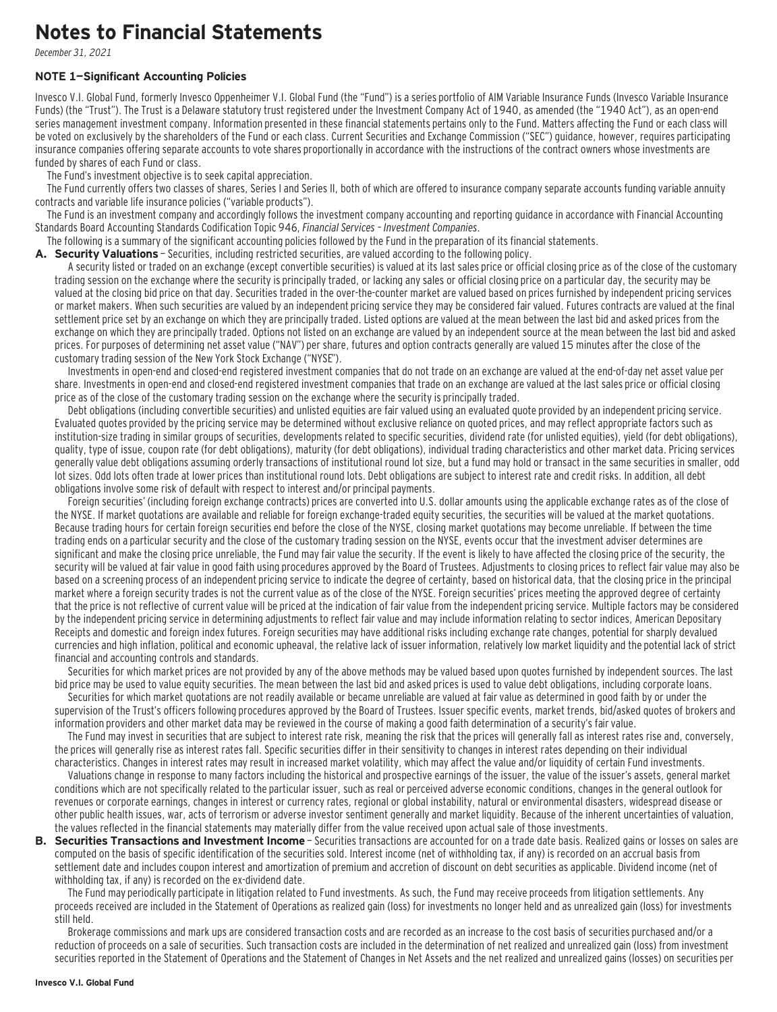# **Notes to Financial Statements**

December 31, 2021

#### **NOTE 1—Significant Accounting Policies**

Invesco V.I. Global Fund, formerly Invesco Oppenheimer V.I. Global Fund (the "Fund") is a series portfolio of AIM Variable Insurance Funds (Invesco Variable Insurance Funds) (the "Trust"). The Trust is a Delaware statutory trust registered under the Investment Company Act of 1940, as amended (the "1940 Act"), as an open-end series management investment company. Information presented in these financial statements pertains only to the Fund. Matters affecting the Fund or each class will be voted on exclusively by the shareholders of the Fund or each class. Current Securities and Exchange Commission ("SEC") guidance, however, requires participating insurance companies offering separate accounts to vote shares proportionally in accordance with the instructions of the contract owners whose investments are funded by shares of each Fund or class.

The Fund's investment objective is to seek capital appreciation.

The Fund currently offers two classes of shares, Series I and Series II, both of which are offered to insurance company separate accounts funding variable annuity contracts and variable life insurance policies ("variable products").

The Fund is an investment company and accordingly follows the investment company accounting and reporting guidance in accordance with Financial Accounting Standards Board Accounting Standards Codification Topic 946, Financial Services – Investment Companies.

The following is a summary of the significant accounting policies followed by the Fund in the preparation of its financial statements.

A. Security Valuations - Securities, including restricted securities, are valued according to the following policy.

A security listed or traded on an exchange (except convertible securities) is valued at its last sales price or official closing price as of the close of the customary trading session on the exchange where the security is principally traded, or lacking any sales or official closing price on a particular day, the security may be valued at the closing bid price on that day. Securities traded in the over-the-counter market are valued based on prices furnished by independent pricing services or market makers. When such securities are valued by an independent pricing service they may be considered fair valued. Futures contracts are valued at the final settlement price set by an exchange on which they are principally traded. Listed options are valued at the mean between the last bid and asked prices from the exchange on which they are principally traded. Options not listed on an exchange are valued by an independent source at the mean between the last bid and asked prices. For purposes of determining net asset value ("NAV") per share, futures and option contracts generally are valued 15 minutes after the close of the customary trading session of the New York Stock Exchange ("NYSE").

Investments in open-end and closed-end registered investment companies that do not trade on an exchange are valued at the end-of-day net asset value per share. Investments in open-end and closed-end registered investment companies that trade on an exchange are valued at the last sales price or official closing price as of the close of the customary trading session on the exchange where the security is principally traded.

Debt obligations (including convertible securities) and unlisted equities are fair valued using an evaluated quote provided by an independent pricing service. Evaluated quotes provided by the pricing service may be determined without exclusive reliance on quoted prices, and may reflect appropriate factors such as institution-size trading in similar groups of securities, developments related to specific securities, dividend rate (for unlisted equities), yield (for debt obligations), quality, type of issue, coupon rate (for debt obligations), maturity (for debt obligations), individual trading characteristics and other market data. Pricing services generally value debt obligations assuming orderly transactions of institutional round lot size, but a fund may hold or transact in the same securities in smaller, odd lot sizes. Odd lots often trade at lower prices than institutional round lots. Debt obligations are subject to interest rate and credit risks. In addition, all debt obligations involve some risk of default with respect to interest and/or principal payments.

Foreign securities' (including foreign exchange contracts) prices are converted into U.S. dollar amounts using the applicable exchange rates as of the close of the NYSE. If market quotations are available and reliable for foreign exchange-traded equity securities, the securities will be valued at the market quotations. Because trading hours for certain foreign securities end before the close of the NYSE, closing market quotations may become unreliable. If between the time trading ends on a particular security and the close of the customary trading session on the NYSE, events occur that the investment adviser determines are significant and make the closing price unreliable, the Fund may fair value the security. If the event is likely to have affected the closing price of the security, the security will be valued at fair value in good faith using procedures approved by the Board of Trustees. Adjustments to closing prices to reflect fair value may also be based on a screening process of an independent pricing service to indicate the degree of certainty, based on historical data, that the closing price in the principal market where a foreign security trades is not the current value as of the close of the NYSE. Foreign securities' prices meeting the approved degree of certainty that the price is not reflective of current value will be priced at the indication of fair value from the independent pricing service. Multiple factors may be considered by the independent pricing service in determining adjustments to reflect fair value and may include information relating to sector indices, American Depositary Receipts and domestic and foreign index futures. Foreign securities may have additional risks including exchange rate changes, potential for sharply devalued currencies and high inflation, political and economic upheaval, the relative lack of issuer information, relatively low market liquidity and the potential lack of strict financial and accounting controls and standards.

Securities for which market prices are not provided by any of the above methods may be valued based upon quotes furnished by independent sources. The last bid price may be used to value equity securities. The mean between the last bid and asked prices is used to value debt obligations, including corporate loans.

Securities for which market quotations are not readily available or became unreliable are valued at fair value as determined in good faith by or under the supervision of the Trust's officers following procedures approved by the Board of Trustees. Issuer specific events, market trends, bid/asked quotes of brokers and information providers and other market data may be reviewed in the course of making a good faith determination of a security's fair value.

The Fund may invest in securities that are subject to interest rate risk, meaning the risk that the prices will generally fall as interest rates rise and, conversely, the prices will generally rise as interest rates fall. Specific securities differ in their sensitivity to changes in interest rates depending on their individual characteristics. Changes in interest rates may result in increased market volatility, which may affect the value and/or liquidity of certain Fund investments.

Valuations change in response to many factors including the historical and prospective earnings of the issuer, the value of the issuer's assets, general market conditions which are not specifically related to the particular issuer, such as real or perceived adverse economic conditions, changes in the general outlook for revenues or corporate earnings, changes in interest or currency rates, regional or global instability, natural or environmental disasters, widespread disease or other public health issues, war, acts of terrorism or adverse investor sentiment generally and market liquidity. Because of the inherent uncertainties of valuation, the values reflected in the financial statements may materially differ from the value received upon actual sale of those investments.

**B. Securities Transactions and Investment Income** - Securities transactions are accounted for on a trade date basis. Realized gains or losses on sales are computed on the basis of specific identification of the securities sold. Interest income (net of withholding tax, if any) is recorded on an accrual basis from settlement date and includes coupon interest and amortization of premium and accretion of discount on debt securities as applicable. Dividend income (net of withholding tax, if any) is recorded on the ex-dividend date.

The Fund may periodically participate in litigation related to Fund investments. As such, the Fund may receive proceeds from litigation settlements. Any proceeds received are included in the Statement of Operations as realized gain (loss) for investments no longer held and as unrealized gain (loss) for investments still held.

Brokerage commissions and mark ups are considered transaction costs and are recorded as an increase to the cost basis of securities purchased and/or a reduction of proceeds on a sale of securities. Such transaction costs are included in the determination of net realized and unrealized gain (loss) from investment securities reported in the Statement of Operations and the Statement of Changes in Net Assets and the net realized and unrealized gains (losses) on securities per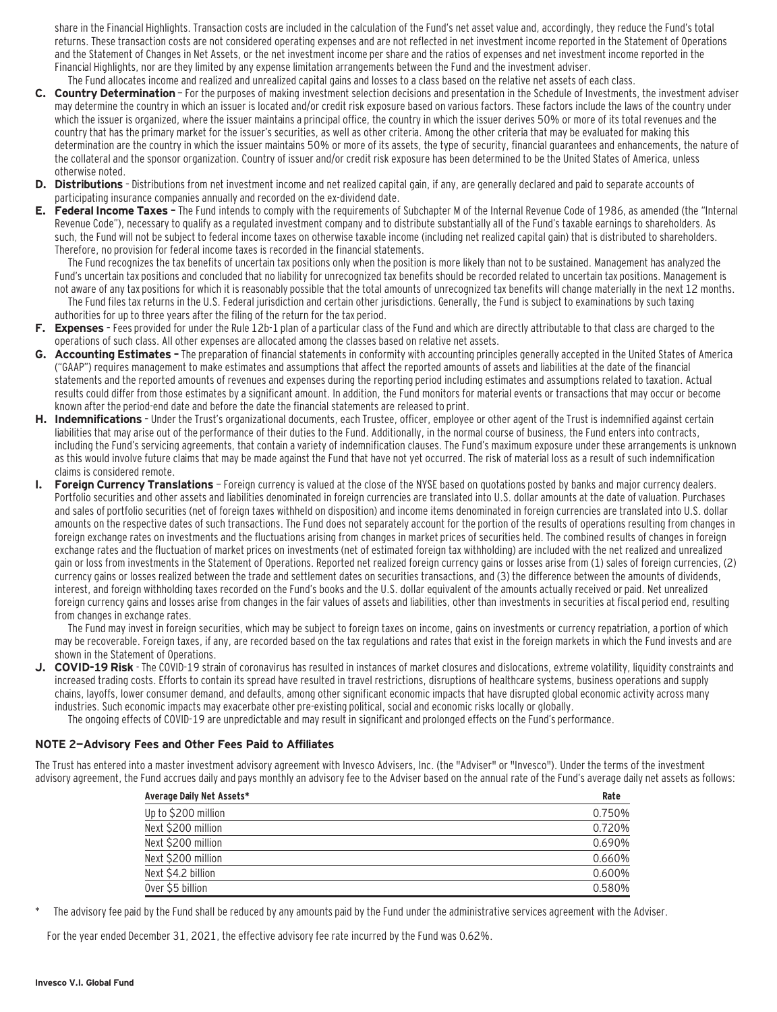share in the Financial Highlights. Transaction costs are included in the calculation of the Fund's net asset value and, accordingly, they reduce the Fund's total returns. These transaction costs are not considered operating expenses and are not reflected in net investment income reported in the Statement of Operations and the Statement of Changes in Net Assets, or the net investment income per share and the ratios of expenses and net investment income reported in the Financial Highlights, nor are they limited by any expense limitation arrangements between the Fund and the investment adviser.

- The Fund allocates income and realized and unrealized capital gains and losses to a class based on the relative net assets of each class. **C. Country Determination** — For the purposes of making investment selection decisions and presentation in the Schedule of Investments, the investment adviser may determine the country in which an issuer is located and/or credit risk exposure based on various factors. These factors include the laws of the country under which the issuer is organized, where the issuer maintains a principal office, the country in which the issuer derives 50% or more of its total revenues and the country that has the primary market for the issuer's securities, as well as other criteria. Among the other criteria that may be evaluated for making this determination are the country in which the issuer maintains 50% or more of its assets, the type of security, financial guarantees and enhancements, the nature of the collateral and the sponsor organization. Country of issuer and/or credit risk exposure has been determined to be the United States of America, unless otherwise noted.
- **D. Distributions**  Distributions from net investment income and net realized capital gain, if any, are generally declared and paid to separate accounts of participating insurance companies annually and recorded on the ex-dividend date.
- **E. Federal Income Taxes** The Fund intends to comply with the requirements of Subchapter M of the Internal Revenue Code of 1986, as amended (the "Internal Revenue Code"), necessary to qualify as a regulated investment company and to distribute substantially all of the Fund's taxable earnings to shareholders. As such, the Fund will not be subject to federal income taxes on otherwise taxable income (including net realized capital gain) that is distributed to shareholders. Therefore, no provision for federal income taxes is recorded in the financial statements.

The Fund recognizes the tax benefits of uncertain tax positions only when the position is more likely than not to be sustained. Management has analyzed the Fund's uncertain tax positions and concluded that no liability for unrecognized tax benefits should be recorded related to uncertain tax positions. Management is not aware of any tax positions for which it is reasonably possible that the total amounts of unrecognized tax benefits will change materially in the next 12 months. The Fund files tax returns in the U.S. Federal jurisdiction and certain other jurisdictions. Generally, the Fund is subject to examinations by such taxing authorities for up to three years after the filing of the return for the tax period.

- **F. Expenses**  Fees provided for under the Rule 12b-1 plan of a particular class of the Fund and which are directly attributable to that class are charged to the operations of such class. All other expenses are allocated among the classes based on relative net assets.
- **G. Accounting Estimates** The preparation of financial statements in conformity with accounting principles generally accepted in the United States of America ("GAAP") requires management to make estimates and assumptions that affect the reported amounts of assets and liabilities at the date of the financial statements and the reported amounts of revenues and expenses during the reporting period including estimates and assumptions related to taxation. Actual results could differ from those estimates by a significant amount. In addition, the Fund monitors for material events or transactions that may occur or become known after the period-end date and before the date the financial statements are released to print.
- **H. Indemnifications**  Under the Trust's organizational documents, each Trustee, officer, employee or other agent of the Trust is indemnified against certain liabilities that may arise out of the performance of their duties to the Fund. Additionally, in the normal course of business, the Fund enters into contracts, including the Fund's servicing agreements, that contain a variety of indemnification clauses. The Fund's maximum exposure under these arrangements is unknown as this would involve future claims that may be made against the Fund that have not yet occurred. The risk of material loss as a result of such indemnification claims is considered remote.
- **I. Foreign Currency Translations**  Foreign currency is valued at the close of the NYSE based on quotations posted by banks and major currency dealers. Portfolio securities and other assets and liabilities denominated in foreign currencies are translated into U.S. dollar amounts at the date of valuation. Purchases and sales of portfolio securities (net of foreign taxes withheld on disposition) and income items denominated in foreign currencies are translated into U.S. dollar amounts on the respective dates of such transactions. The Fund does not separately account for the portion of the results of operations resulting from changes in foreign exchange rates on investments and the fluctuations arising from changes in market prices of securities held. The combined results of changes in foreign exchange rates and the fluctuation of market prices on investments (net of estimated foreign tax withholding) are included with the net realized and unrealized gain or loss from investments in the Statement of Operations. Reported net realized foreign currency gains or losses arise from (1) sales of foreign currencies, (2) currency gains or losses realized between the trade and settlement dates on securities transactions, and (3) the difference between the amounts of dividends, interest, and foreign withholding taxes recorded on the Fund's books and the U.S. dollar equivalent of the amounts actually received or paid. Net unrealized foreign currency gains and losses arise from changes in the fair values of assets and liabilities, other than investments in securities at fiscal period end, resulting from changes in exchange rates.

The Fund may invest in foreign securities, which may be subject to foreign taxes on income, gains on investments or currency repatriation, a portion of which may be recoverable. Foreign taxes, if any, are recorded based on the tax regulations and rates that exist in the foreign markets in which the Fund invests and are shown in the Statement of Operations.

**J. COVID-19 Risk** - The COVID-19 strain of coronavirus has resulted in instances of market closures and dislocations, extreme volatility, liquidity constraints and increased trading costs. Efforts to contain its spread have resulted in travel restrictions, disruptions of healthcare systems, business operations and supply chains, layoffs, lower consumer demand, and defaults, among other significant economic impacts that have disrupted global economic activity across many industries. Such economic impacts may exacerbate other pre-existing political, social and economic risks locally or globally. The ongoing effects of COVID-19 are unpredictable and may result in significant and prolonged effects on the Fund's performance.

### **NOTE 2—Advisory Fees and Other Fees Paid to Affiliates**

The Trust has entered into a master investment advisory agreement with Invesco Advisers, Inc. (the "Adviser" or "Invesco"). Under the terms of the investment advisory agreement, the Fund accrues daily and pays monthly an advisory fee to the Adviser based on the annual rate of the Fund's average daily net assets as follows:

| Average Daily Net Assets* | Rate   |
|---------------------------|--------|
| Up to \$200 million       | 0.750% |
| Next \$200 million        | 0.720% |
| Next \$200 million        | 0.690% |
| Next \$200 million        | 0.660% |
| Next \$4.2 billion        | 0.600% |
| Over \$5 billion          | 0.580% |

The advisory fee paid by the Fund shall be reduced by any amounts paid by the Fund under the administrative services agreement with the Adviser.

For the year ended December 31, 2021, the effective advisory fee rate incurred by the Fund was 0.62%.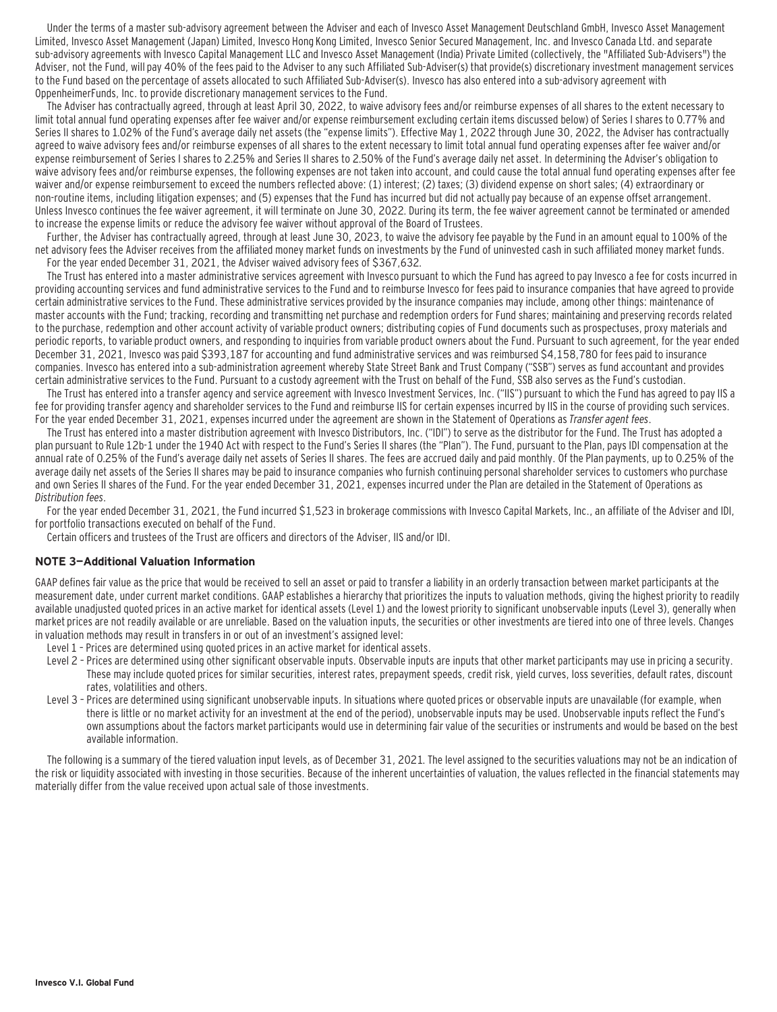Under the terms of a master sub-advisory agreement between the Adviser and each of Invesco Asset Management Deutschland GmbH, Invesco Asset Management Limited, Invesco Asset Management (Japan) Limited, Invesco Hong Kong Limited, Invesco Senior Secured Management, Inc. and Invesco Canada Ltd. and separate sub-advisory agreements with Invesco Capital Management LLC and Invesco Asset Management (India) Private Limited (collectively, the "Affiliated Sub-Advisers") the Adviser, not the Fund, will pay 40% of the fees paid to the Adviser to any such Affiliated Sub-Adviser(s) that provide(s) discretionary investment management services to the Fund based on the percentage of assets allocated to such Affiliated Sub-Adviser(s). Invesco has also entered into a sub-advisory agreement with OppenheimerFunds, Inc. to provide discretionary management services to the Fund.

The Adviser has contractually agreed, through at least April 30, 2022, to waive advisory fees and/or reimburse expenses of all shares to the extent necessary to limit total annual fund operating expenses after fee waiver and/or expense reimbursement excluding certain items discussed below) of Series I shares to 0.77% and Series II shares to 1.02% of the Fund's average daily net assets (the "expense limits"). Effective May 1, 2022 through June 30, 2022, the Adviser has contractually agreed to waive advisory fees and/or reimburse expenses of all shares to the extent necessary to limit total annual fund operating expenses after fee waiver and/or expense reimbursement of Series I shares to 2.25% and Series II shares to 2.50% of the Fund's average daily net asset. In determining the Adviser's obligation to waive advisory fees and/or reimburse expenses, the following expenses are not taken into account, and could cause the total annual fund operating expenses after fee waiver and/or expense reimbursement to exceed the numbers reflected above: (1) interest; (2) taxes; (3) dividend expense on short sales; (4) extraordinary or non-routine items, including litigation expenses; and (5) expenses that the Fund has incurred but did not actually pay because of an expense offset arrangement. Unless Invesco continues the fee waiver agreement, it will terminate on June 30, 2022. During its term, the fee waiver agreement cannot be terminated or amended to increase the expense limits or reduce the advisory fee waiver without approval of the Board of Trustees.

Further, the Adviser has contractually agreed, through at least June 30, 2023, to waive the advisory fee payable by the Fund in an amount equal to 100% of the net advisory fees the Adviser receives from the affiliated money market funds on investments by the Fund of uninvested cash in such affiliated money market funds. For the year ended December 31, 2021, the Adviser waived advisory fees of \$367,632.

The Trust has entered into a master administrative services agreement with Invesco pursuant to which the Fund has agreed to pay Invesco a fee for costs incurred in providing accounting services and fund administrative services to the Fund and to reimburse Invesco for fees paid to insurance companies that have agreed to provide certain administrative services to the Fund. These administrative services provided by the insurance companies may include, among other things: maintenance of master accounts with the Fund; tracking, recording and transmitting net purchase and redemption orders for Fund shares; maintaining and preserving records related to the purchase, redemption and other account activity of variable product owners; distributing copies of Fund documents such as prospectuses, proxy materials and periodic reports, to variable product owners, and responding to inquiries from variable product owners about the Fund. Pursuant to such agreement, for the year ended December 31, 2021, Invesco was paid \$393,187 for accounting and fund administrative services and was reimbursed \$4,158,780 for fees paid to insurance companies. Invesco has entered into a sub-administration agreement whereby State Street Bank and Trust Company ("SSB") serves as fund accountant and provides certain administrative services to the Fund. Pursuant to a custody agreement with the Trust on behalf of the Fund, SSB also serves as the Fund's custodian.

The Trust has entered into a transfer agency and service agreement with Invesco Investment Services, Inc. ("IIS") pursuant to which the Fund has agreed to pay IIS a fee for providing transfer agency and shareholder services to the Fund and reimburse IIS for certain expenses incurred by IIS in the course of providing such services. For the year ended December 31, 2021, expenses incurred under the agreement are shown in the Statement of Operations as Transfer agent fees.

The Trust has entered into a master distribution agreement with Invesco Distributors, Inc. ("IDI") to serve as the distributor for the Fund. The Trust has adopted a plan pursuant to Rule 12b-1 under the 1940 Act with respect to the Fund's Series II shares (the "Plan"). The Fund, pursuant to the Plan, pays IDI compensation at the annual rate of 0.25% of the Fund's average daily net assets of Series II shares. The fees are accrued daily and paid monthly. Of the Plan payments, up to 0.25% of the average daily net assets of the Series II shares may be paid to insurance companies who furnish continuing personal shareholder services to customers who purchase and own Series II shares of the Fund. For the year ended December 31, 2021, expenses incurred under the Plan are detailed in the Statement of Operations as Distribution fees.

For the year ended December 31, 2021, the Fund incurred \$1,523 in brokerage commissions with Invesco Capital Markets, Inc., an affiliate of the Adviser and IDI, for portfolio transactions executed on behalf of the Fund.

Certain officers and trustees of the Trust are officers and directors of the Adviser, IIS and/or IDI.

### **NOTE 3—Additional Valuation Information**

GAAP defines fair value as the price that would be received to sell an asset or paid to transfer a liability in an orderly transaction between market participants at the measurement date, under current market conditions. GAAP establishes a hierarchy that prioritizes the inputs to valuation methods, giving the highest priority to readily available unadjusted quoted prices in an active market for identical assets (Level 1) and the lowest priority to significant unobservable inputs (Level 3), generally when market prices are not readily available or are unreliable. Based on the valuation inputs, the securities or other investments are tiered into one of three levels. Changes in valuation methods may result in transfers in or out of an investment's assigned level:

- Level 1 Prices are determined using quoted prices in an active market for identical assets.
- Level 2 Prices are determined using other significant observable inputs. Observable inputs are inputs that other market participants may use in pricing a security. These may include quoted prices for similar securities, interest rates, prepayment speeds, credit risk, yield curves, loss severities, default rates, discount rates, volatilities and others.
- Level 3 Prices are determined using significant unobservable inputs. In situations where quoted prices or observable inputs are unavailable (for example, when there is little or no market activity for an investment at the end of the period), unobservable inputs may be used. Unobservable inputs reflect the Fund's own assumptions about the factors market participants would use in determining fair value of the securities or instruments and would be based on the best available information.

The following is a summary of the tiered valuation input levels, as of December 31, 2021. The level assigned to the securities valuations may not be an indication of the risk or liquidity associated with investing in those securities. Because of the inherent uncertainties of valuation, the values reflected in the financial statements may materially differ from the value received upon actual sale of those investments.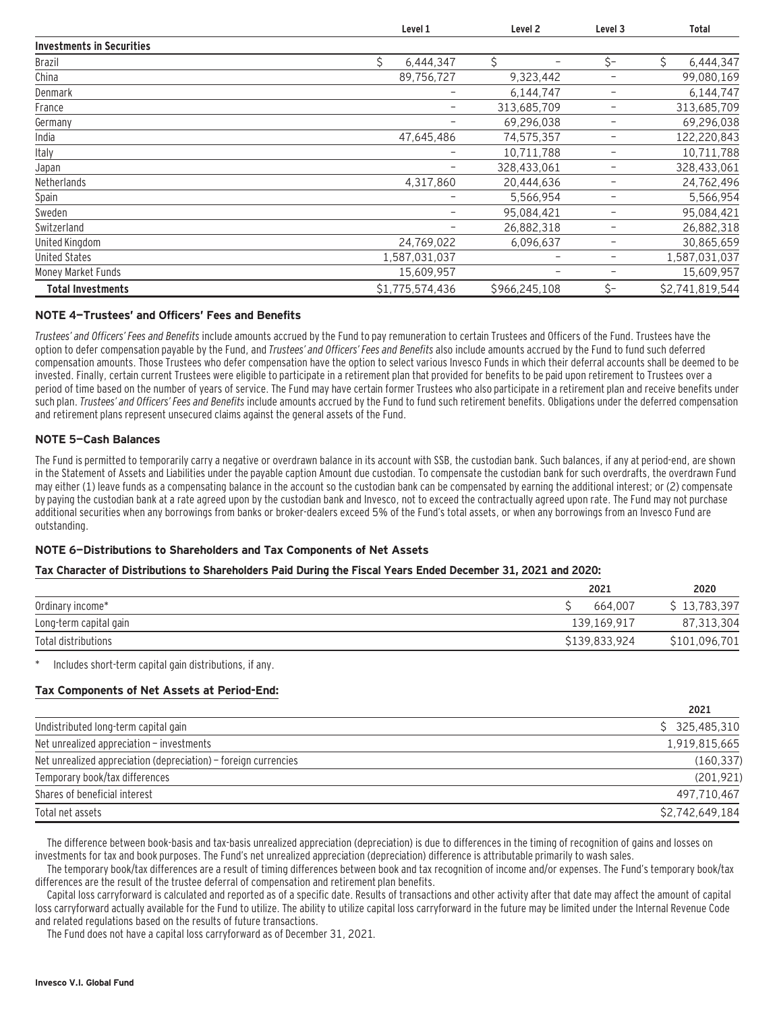|                                  | Level 1         |                          | Level <sub>2</sub> | Level 3 | <b>Total</b>    |
|----------------------------------|-----------------|--------------------------|--------------------|---------|-----------------|
| <b>Investments in Securities</b> |                 |                          |                    |         |                 |
| <b>Brazil</b>                    | \$<br>6,444,347 |                          | \$                 | \$-     | Ś<br>6,444,347  |
| China                            | 89,756,727      |                          | 9,323,442          |         | 99,080,169      |
| Denmark                          |                 | -                        | 6,144,747          | -       | 6,144,747       |
| France                           |                 | $\overline{\phantom{m}}$ | 313,685,709        | -       | 313,685,709     |
| Germany                          |                 | ۰                        | 69,296,038         | -       | 69,296,038      |
| India                            | 47,645,486      |                          | 74,575,357         | -       | 122,220,843     |
| Italy                            |                 | -                        | 10,711,788         | -       | 10,711,788      |
| Japan                            |                 | ۰                        | 328,433,061        |         | 328,433,061     |
| Netherlands                      | 4,317,860       |                          | 20,444,636         |         | 24,762,496      |
| Spain                            |                 |                          | 5,566,954          | -       | 5,566,954       |
| Sweden                           |                 | -                        | 95,084,421         | -       | 95,084,421      |
| Switzerland                      |                 |                          | 26,882,318         |         | 26,882,318      |
| United Kingdom                   | 24,769,022      |                          | 6,096,637          |         | 30,865,659      |
| <b>United States</b>             | 1,587,031,037   |                          |                    | -<br>-  | 1,587,031,037   |
| Money Market Funds               | 15,609,957      |                          |                    | -       | 15,609,957      |
| <b>Total Investments</b>         | \$1,775,574,436 |                          | \$966,245,108      | $S-$    | \$2,741,819,544 |

### **NOTE 4—Trustees' and Officers' Fees and Benefits**

Trustees' and Officers' Fees and Benefits include amounts accrued by the Fund to pay remuneration to certain Trustees and Officers of the Fund. Trustees have the option to defer compensation payable by the Fund, and Trustees' and Officers' Fees and Benefits also include amounts accrued by the Fund to fund such deferred compensation amounts. Those Trustees who defer compensation have the option to select various Invesco Funds in which their deferral accounts shall be deemed to be invested. Finally, certain current Trustees were eligible to participate in a retirement plan that provided for benefits to be paid upon retirement to Trustees over a period of time based on the number of years of service. The Fund may have certain former Trustees who also participate in a retirement plan and receive benefits under such plan. Trustees' and Officers' Fees and Benefits include amounts accrued by the Fund to fund such retirement benefits. Obligations under the deferred compensation and retirement plans represent unsecured claims against the general assets of the Fund.

### **NOTE 5—Cash Balances**

The Fund is permitted to temporarily carry a negative or overdrawn balance in its account with SSB, the custodian bank. Such balances, if any at period-end, are shown in the Statement of Assets and Liabilities under the payable caption Amount due custodian. To compensate the custodian bank for such overdrafts, the overdrawn Fund may either (1) leave funds as a compensating balance in the account so the custodian bank can be compensated by earning the additional interest; or (2) compensate by paying the custodian bank at a rate agreed upon by the custodian bank and Invesco, not to exceed the contractually agreed upon rate. The Fund may not purchase additional securities when any borrowings from banks or broker-dealers exceed 5% of the Fund's total assets, or when any borrowings from an Invesco Fund are outstanding.

### **NOTE 6—Distributions to Shareholders and Tax Components of Net Assets**

### **Tax Character of Distributions to Shareholders Paid During the Fiscal Years Ended December 31, 2021 and 2020:**

|                        | 2021          | 2020          |
|------------------------|---------------|---------------|
| Ordinary income*       | 664.007       | \$13,783,397  |
| Long-term capital gain | 139.169.917   | 87,313,304    |
| Total distributions    | \$139.833.924 | \$101,096,701 |

Includes short-term capital gain distributions, if any.

### **Tax Components of Net Assets at Period-End:**

|                                                                 | 2021            |
|-----------------------------------------------------------------|-----------------|
| Undistributed long-term capital gain                            | \$325.485.310   |
| Net unrealized appreciation - investments                       | 1,919,815,665   |
| Net unrealized appreciation (depreciation) – foreign currencies | (160, 337)      |
| Temporary book/tax differences                                  | (201, 921)      |
| Shares of beneficial interest                                   | 497.710.467     |
| Total net assets                                                | \$2,742,649,184 |

The difference between book-basis and tax-basis unrealized appreciation (depreciation) is due to differences in the timing of recognition of gains and losses on investments for tax and book purposes. The Fund's net unrealized appreciation (depreciation) difference is attributable primarily to wash sales.

The temporary book/tax differences are a result of timing differences between book and tax recognition of income and/or expenses. The Fund's temporary book/tax differences are the result of the trustee deferral of compensation and retirement plan benefits.

Capital loss carryforward is calculated and reported as of a specific date. Results of transactions and other activity after that date may affect the amount of capital loss carryforward actually available for the Fund to utilize. The ability to utilize capital loss carryforward in the future may be limited under the Internal Revenue Code and related regulations based on the results of future transactions.

The Fund does not have a capital loss carryforward as of December 31, 2021.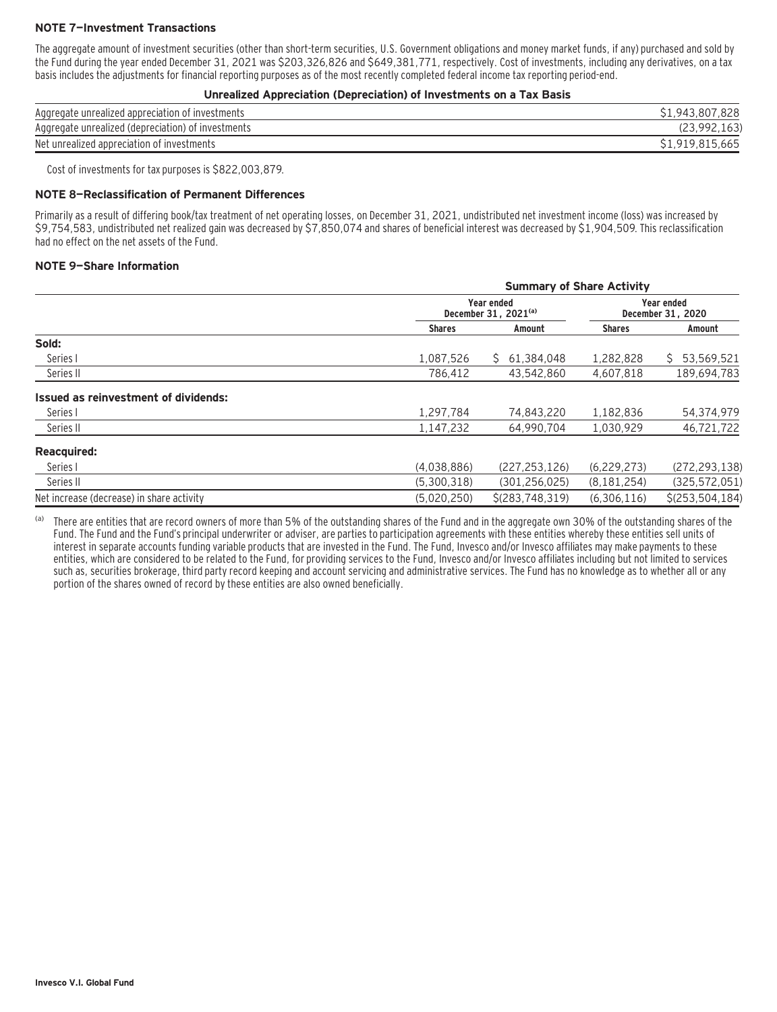### **NOTE 7—Investment Transactions**

The aggregate amount of investment securities (other than short-term securities, U.S. Government obligations and money market funds, if any) purchased and sold by the Fund during the year ended December 31, 2021 was \$203,326,826 and \$649,381,771, respectively. Cost of investments, including any derivatives, on a tax basis includes the adjustments for financial reporting purposes as of the most recently completed federal income tax reporting period-end.

#### **Unrealized Appreciation (Depreciation) of Investments on a Tax Basis**

| Aggregate unrealized appreciation of investments        | 828<br>.807<br>S <sub>1.943</sub> |
|---------------------------------------------------------|-----------------------------------|
| Aggregate unrealized (depreciation) of<br>t investments | $\sim$                            |
| Net unrealized appreciation of investments              | \$1,919,815,665                   |

Cost of investments for tax purposes is \$822,003,879.

#### **NOTE 8—Reclassification of Permanent Differences**

Primarily as a result of differing book/tax treatment of net operating losses, on December 31, 2021, undistributed net investment income (loss) was increased by \$9,754,583, undistributed net realized gain was decreased by \$7,850,074 and shares of beneficial interest was decreased by \$1,904,509. This reclassification had no effect on the net assets of the Fund.

#### **NOTE 9—Share Information**

|                                           | <b>Summary of Share Activity</b> |                                                |               |                   |  |  |
|-------------------------------------------|----------------------------------|------------------------------------------------|---------------|-------------------|--|--|
|                                           |                                  | Year ended<br>December 31, 2021 <sup>(a)</sup> |               |                   |  |  |
|                                           | <b>Shares</b>                    | Amount                                         | <b>Shares</b> | Amount            |  |  |
| Sold:                                     |                                  |                                                |               |                   |  |  |
| Series I                                  | 1,087,526                        | 61,384,048<br>S.                               | 1,282,828     | 53,569,521<br>S.  |  |  |
| Series II                                 | 786,412                          | 43,542,860                                     | 4,607,818     | 189,694,783       |  |  |
| Issued as reinvestment of dividends:      |                                  |                                                |               |                   |  |  |
| Series I                                  | 1,297,784                        | 74,843,220                                     | 1,182,836     | 54,374,979        |  |  |
| Series II                                 | 1,147,232                        | 64,990,704                                     | 1,030,929     | 46,721,722        |  |  |
| <b>Reacquired:</b>                        |                                  |                                                |               |                   |  |  |
| Series I                                  | (4,038,886)                      | (227, 253, 126)                                | (6, 229, 273) | (272, 293, 138)   |  |  |
| Series II                                 | (5,300,318)                      | (301, 256, 025)                                | (8, 181, 254) | (325, 572, 051)   |  |  |
| Net increase (decrease) in share activity | (5,020,250)                      | \$(283, 748, 319)                              | (6,306,116)   | $$$ (253,504,184) |  |  |

(a) There are entities that are record owners of more than 5% of the outstanding shares of the Fund and in the aggregate own 30% of the outstanding shares of the Fund. The Fund and the Fund's principal underwriter or adviser, are parties to participation agreements with these entities whereby these entities sell units of interest in separate accounts funding variable products that are invested in the Fund. The Fund, Invesco and/or Invesco affiliates may make payments to these entities, which are considered to be related to the Fund, for providing services to the Fund, Invesco and/or Invesco affiliates including but not limited to services such as, securities brokerage, third party record keeping and account servicing and administrative services. The Fund has no knowledge as to whether all or any portion of the shares owned of record by these entities are also owned beneficially.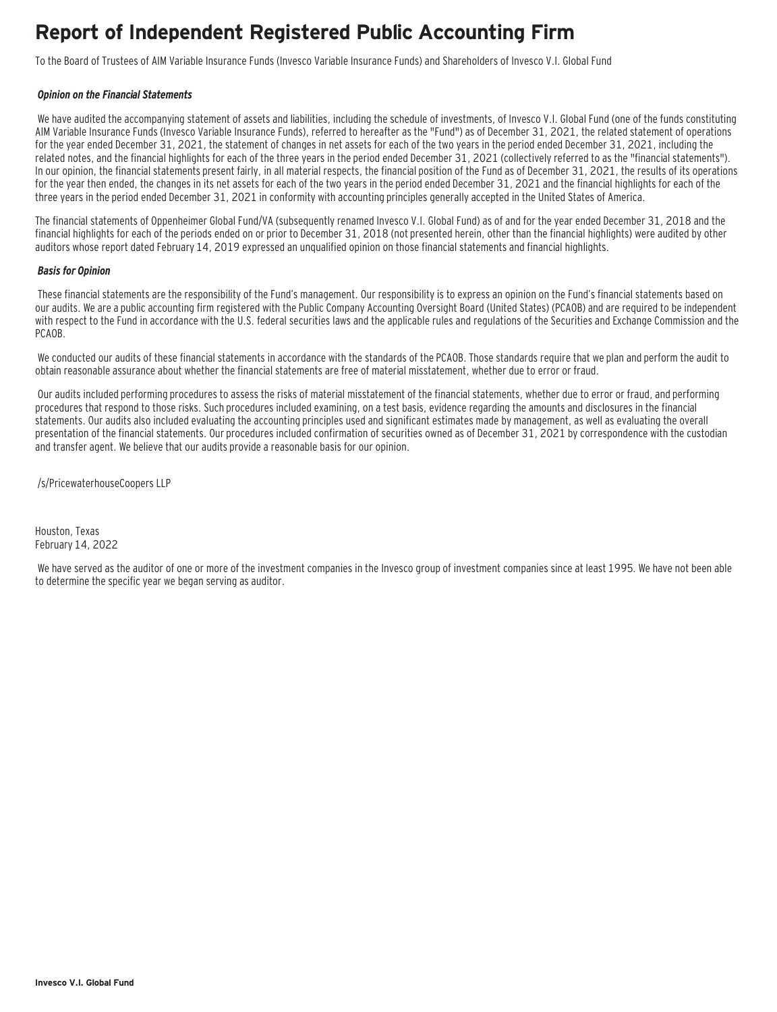# **Report of Independent Registered Public Accounting Firm**

To the Board of Trustees of AIM Variable Insurance Funds (Invesco Variable Insurance Funds) and Shareholders of Invesco V.I. Global Fund

#### **Opinion on the Financial Statements**

We have audited the accompanying statement of assets and liabilities, including the schedule of investments, of Invesco V.I. Global Fund (one of the funds constituting AIM Variable Insurance Funds (Invesco Variable Insurance Funds), referred to hereafter as the "Fund") as of December 31, 2021, the related statement of operations for the year ended December 31, 2021, the statement of changes in net assets for each of the two years in the period ended December 31, 2021, including the related notes, and the financial highlights for each of the three years in the period ended December 31, 2021 (collectively referred to as the "financial statements"). In our opinion, the financial statements present fairly, in all material respects, the financial position of the Fund as of December 31, 2021, the results of its operations for the year then ended, the changes in its net assets for each of the two years in the period ended December 31, 2021 and the financial highlights for each of the three years in the period ended December 31, 2021 in conformity with accounting principles generally accepted in the United States of America.

The financial statements of Oppenheimer Global Fund/VA (subsequently renamed Invesco V.I. Global Fund) as of and for the year ended December 31, 2018 and the financial highlights for each of the periods ended on or prior to December 31, 2018 (not presented herein, other than the financial highlights) were audited by other auditors whose report dated February 14, 2019 expressed an unqualified opinion on those financial statements and financial highlights.

#### **Basis for Opinion**

These financial statements are the responsibility of the Fund's management. Our responsibility is to express an opinion on the Fund's financial statements based on our audits. We are a public accounting firm registered with the Public Company Accounting Oversight Board (United States) (PCAOB) and are required to be independent with respect to the Fund in accordance with the U.S. federal securities laws and the applicable rules and regulations of the Securities and Exchange Commission and the PCAOB.

We conducted our audits of these financial statements in accordance with the standards of the PCAOB. Those standards require that we plan and perform the audit to obtain reasonable assurance about whether the financial statements are free of material misstatement, whether due to error or fraud.

 Our audits included performing procedures to assess the risks of material misstatement of the financial statements, whether due to error or fraud, and performing procedures that respond to those risks. Such procedures included examining, on a test basis, evidence regarding the amounts and disclosures in the financial statements. Our audits also included evaluating the accounting principles used and significant estimates made by management, as well as evaluating the overall presentation of the financial statements. Our procedures included confirmation of securities owned as of December 31, 2021 by correspondence with the custodian and transfer agent. We believe that our audits provide a reasonable basis for our opinion.

/s/PricewaterhouseCoopers LLP

Houston, Texas February 14, 2022

 We have served as the auditor of one or more of the investment companies in the Invesco group of investment companies since at least 1995. We have not been able to determine the specific year we began serving as auditor.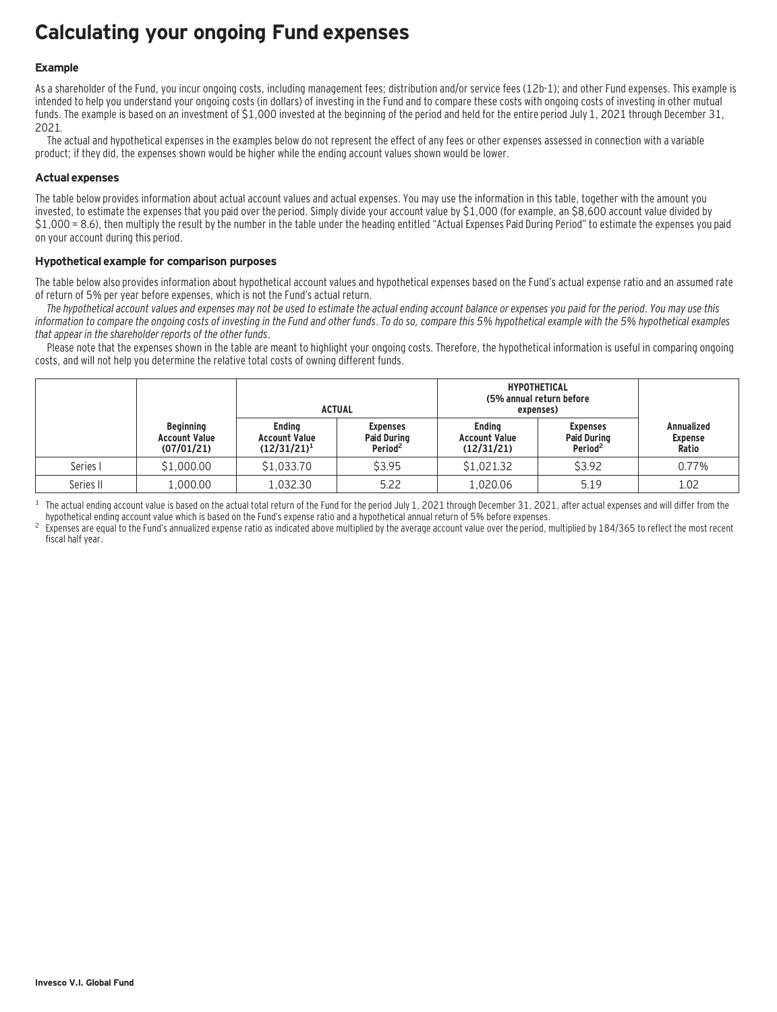# **Calculating your ongoing Fund expenses**

### **Example**

As a shareholder of the Fund, you incur ongoing costs, including management fees; distribution and/or service fees (12b-1); and other Fund expenses. This example is intended to help you understand your ongoing costs (in dollars) of investing in the Fund and to compare these costs with ongoing costs of investing in other mutual funds. The example is based on an investment of \$1,000 invested at the beginning of the period and held for the entire period July 1, 2021 through December 31, 2021.

The actual and hypothetical expenses in the examples below do not represent the effect of any fees or other expenses assessed in connection with a variable product; if they did, the expenses shown would be higher while the ending account values shown would be lower.

### **Actual expenses**

The table below provides information about actual account values and actual expenses. You may use the information in this table, together with the amount you invested, to estimate the expenses that you paid over the period. Simply divide your account value by \$1,000 (for example, an \$8,600 account value divided by \$1,000 = 8.6), then multiply the result by the number in the table under the heading entitled "Actual Expenses Paid During Period" to estimate the expenses you paid on your account during this period.

### **Hypothetical example for comparison purposes**

The table below also provides information about hypothetical account values and hypothetical expenses based on the Fund's actual expense ratio and an assumed rate of return of 5% per year before expenses, which is not the Fund's actual return.

The hypothetical account values and expenses may not be used to estimate the actual ending account balance or expenses you paid for the period. You may use this information to compare the ongoing costs of investing in the Fund and other funds. To do so, compare this 5% hypothetical example with the 5% hypothetical examples that appear in the shareholder reports of the other funds.

Please note that the expenses shown in the table are meant to highlight your ongoing costs. Therefore, the hypothetical information is useful in comparing ongoing costs, and will not help you determine the relative total costs of owning different funds.

|           |                                                        |                                                         | <b>ACTUAL</b>                                                | <b>HYPOTHETICAL</b><br>(5% annual return before<br>expenses) |                                                              |                                              |
|-----------|--------------------------------------------------------|---------------------------------------------------------|--------------------------------------------------------------|--------------------------------------------------------------|--------------------------------------------------------------|----------------------------------------------|
|           | <b>Beginning</b><br><b>Account Value</b><br>(07/01/21) | <b>Endina</b><br><b>Account Value</b><br>$(12/31/21)^1$ | <b>Expenses</b><br><b>Paid During</b><br>Period <sup>2</sup> | <b>Endina</b><br><b>Account Value</b><br>(12/31/21)          | <b>Expenses</b><br><b>Paid During</b><br>Period <sup>2</sup> | <b>Annualized</b><br><b>Expense</b><br>Ratio |
| Series I  | \$1,000.00                                             | \$1,033.70                                              | \$3.95                                                       | \$1,021.32                                                   | \$3.92                                                       | 0.77%                                        |
| Series II | 1,000.00                                               | 1,032.30                                                | 5.22                                                         | 1.020.06                                                     | 5.19                                                         | 1.02                                         |

<sup>1</sup> The actual ending account value is based on the actual total return of the Fund for the period July 1, 2021 through December 31, 2021, after actual expenses and will differ from the hupothetical ending account value w

Expenses are equal to the Fund's annualized expense ratio as indicated above multiplied by the average account value over the period, multiplied by 184/365 to reflect the most recent fiscal half year.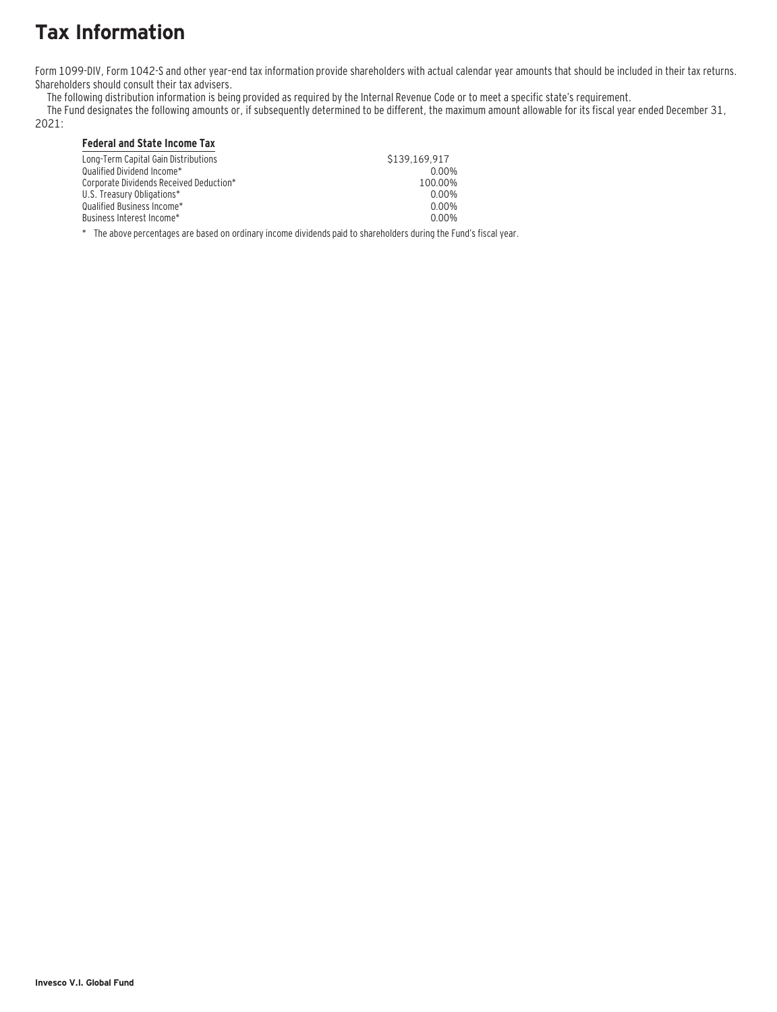# **Tax Information**

Form 1099-DIV, Form 1042-S and other year–end tax information provide shareholders with actual calendar year amounts that should be included in their tax returns. Shareholders should consult their tax advisers.

The following distribution information is being provided as required by the Internal Revenue Code or to meet a specific state's requirement.

The Fund designates the following amounts or, if subsequently determined to be different, the maximum amount allowable for its fiscal year ended December 31,

2021:

### **Federal and State Income Tax**

| Long-Term Capital Gain Distributions    | \$139,169.917 |
|-----------------------------------------|---------------|
| Oualified Dividend Income*              | 0.00%         |
| Corporate Dividends Received Deduction* | 100.00%       |
| U.S. Treasury Obligations*              | 0.00%         |
| Oualified Business Income*              | 0.00%         |
| Business Interest Income*_              | 0.00%         |
|                                         |               |

\* The above percentages are based on ordinary income dividends paid to shareholders during the Fund's fiscal year.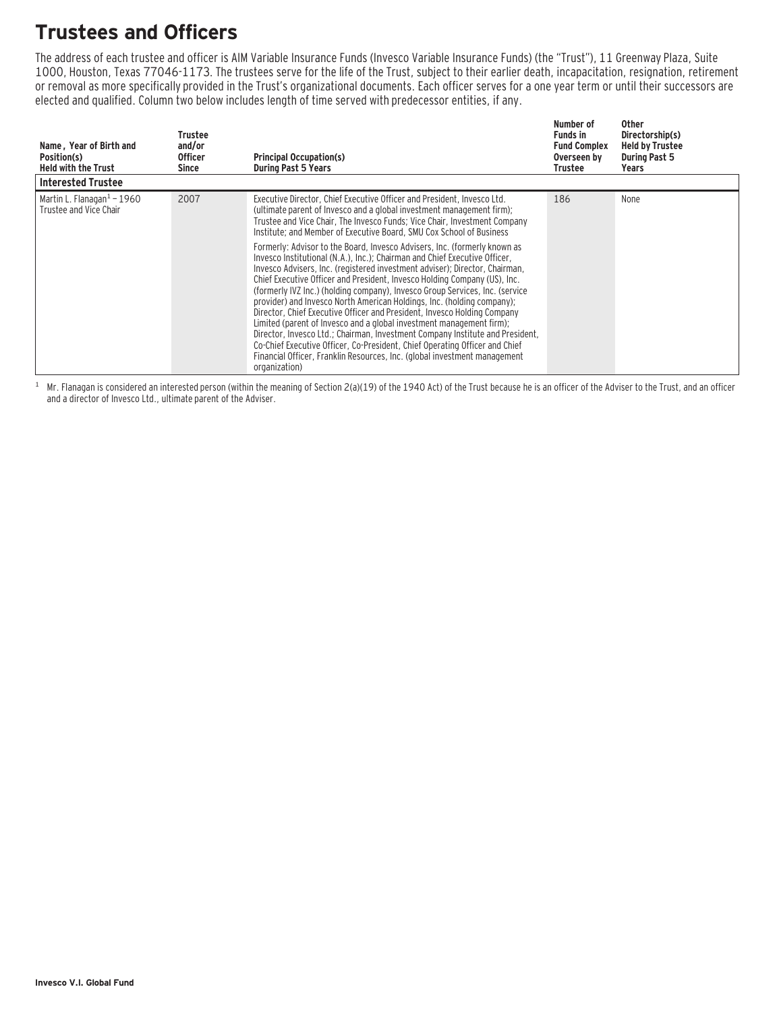# **Trustees and Officers**

The address of each trustee and officer is AIM Variable Insurance Funds (Invesco Variable Insurance Funds) (the "Trust"), 11 Greenway Plaza, Suite 1000, Houston, Texas 77046-1173. The trustees serve for the life of the Trust, subject to their earlier death, incapacitation, resignation, retirement or removal as more specifically provided in the Trust's organizational documents. Each officer serves for a one year term or until their successors are elected and qualified. Column two below includes length of time served with predecessor entities, if any.

| Name, Year of Birth and<br>Position(s)<br><b>Held with the Trust</b> | Trustee<br>and/or<br><b>Officer</b><br>Since | <b>Principal Occupation(s)</b><br><b>During Past 5 Years</b>                                                                                                                                                                                                                                                                                                                                                                                                                                                                                                                                                                                                                                                                                                                                                                                                                                                                                                                                                                                                                                                                                                                                             | Number of<br><b>Funds in</b><br><b>Fund Complex</b><br>Overseen by<br>Trustee | Other<br>Directorship(s)<br><b>Held by Trustee</b><br><b>During Past 5</b><br>Years |
|----------------------------------------------------------------------|----------------------------------------------|----------------------------------------------------------------------------------------------------------------------------------------------------------------------------------------------------------------------------------------------------------------------------------------------------------------------------------------------------------------------------------------------------------------------------------------------------------------------------------------------------------------------------------------------------------------------------------------------------------------------------------------------------------------------------------------------------------------------------------------------------------------------------------------------------------------------------------------------------------------------------------------------------------------------------------------------------------------------------------------------------------------------------------------------------------------------------------------------------------------------------------------------------------------------------------------------------------|-------------------------------------------------------------------------------|-------------------------------------------------------------------------------------|
| <b>Interested Trustee</b>                                            |                                              |                                                                                                                                                                                                                                                                                                                                                                                                                                                                                                                                                                                                                                                                                                                                                                                                                                                                                                                                                                                                                                                                                                                                                                                                          |                                                                               |                                                                                     |
| Martin L. Flanagan $1$ – 1960<br>Trustee and Vice Chair              | 2007                                         | Executive Director, Chief Executive Officer and President, Invesco Ltd.<br>(ultimate parent of Invesco and a global investment management firm);<br>Trustee and Vice Chair, The Invesco Funds; Vice Chair, Investment Company<br>Institute; and Member of Executive Board, SMU Cox School of Business<br>Formerly: Advisor to the Board, Invesco Advisers, Inc. (formerly known as<br>Invesco Institutional (N.A.), Inc.): Chairman and Chief Executive Officer.<br>Invesco Advisers, Inc. (registered investment adviser); Director, Chairman,<br>Chief Executive Officer and President, Invesco Holding Company (US), Inc.<br>(formerly IVZ Inc.) (holding company), Invesco Group Services, Inc. (service<br>provider) and Invesco North American Holdings, Inc. (holding company);<br>Director, Chief Executive Officer and President, Invesco Holding Company<br>Limited (parent of Invesco and a global investment management firm);<br>Director, Invesco Ltd.; Chairman, Investment Company Institute and President,<br>Co-Chief Executive Officer, Co-President, Chief Operating Officer and Chief<br>Financial Officer, Franklin Resources, Inc. (global investment management<br>organization) | 186                                                                           | None                                                                                |

 $1$  Mr. Flanagan is considered an interested person (within the meaning of Section 2(a)(19) of the 1940 Act) of the Trust because he is an officer of the Adviser to the Trust, and an officer and a director of Invesco Ltd., ultimate parent of the Adviser.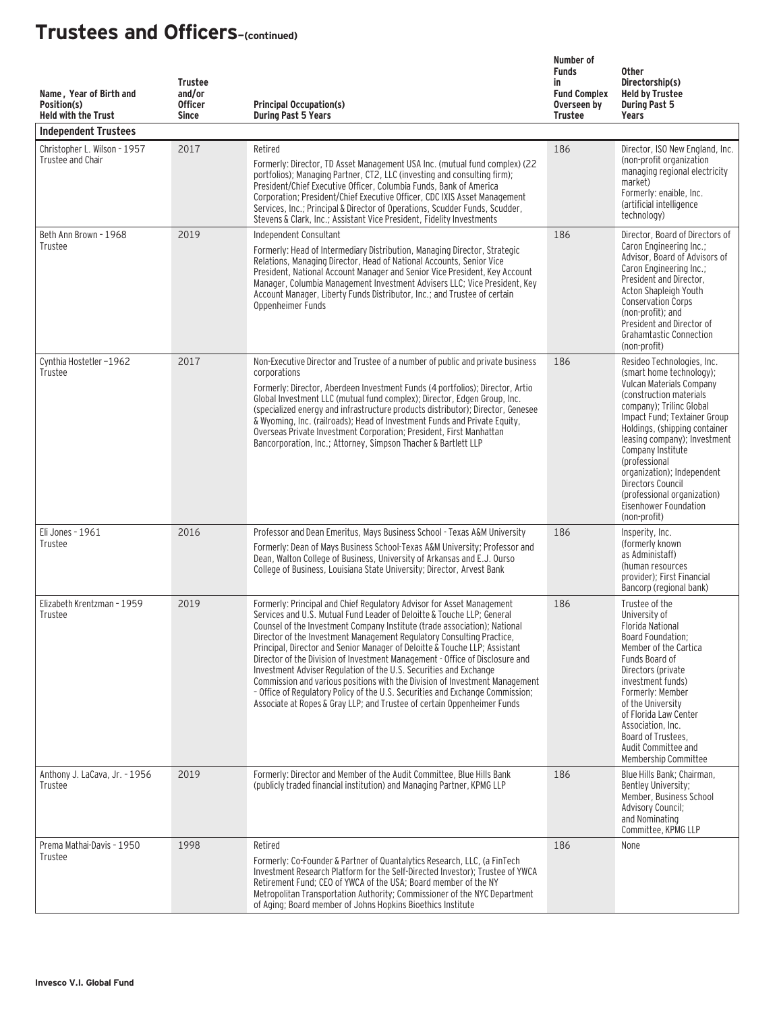| Name, Year of Birth and<br>Position(s)<br><b>Held with the Trust</b><br><b>Independent Trustees</b> | <b>Trustee</b><br>and/or<br><b>Officer</b><br><b>Since</b> | <b>Principal Occupation(s)</b><br><b>During Past 5 Years</b>                                                                                                                                                                                                                                                                                                                                                                                                                                                                                                                                                                                                                                                                                                                        | Number of<br><b>Funds</b><br>in<br><b>Fund Complex</b><br>Overseen by<br><b>Trustee</b> | <b>Other</b><br>Directorship(s)<br><b>Held by Trustee</b><br><b>During Past 5</b><br>Years                                                                                                                                                                                                                                                                                                                   |
|-----------------------------------------------------------------------------------------------------|------------------------------------------------------------|-------------------------------------------------------------------------------------------------------------------------------------------------------------------------------------------------------------------------------------------------------------------------------------------------------------------------------------------------------------------------------------------------------------------------------------------------------------------------------------------------------------------------------------------------------------------------------------------------------------------------------------------------------------------------------------------------------------------------------------------------------------------------------------|-----------------------------------------------------------------------------------------|--------------------------------------------------------------------------------------------------------------------------------------------------------------------------------------------------------------------------------------------------------------------------------------------------------------------------------------------------------------------------------------------------------------|
| Christopher L. Wilson - 1957<br>Trustee and Chair                                                   | 2017                                                       | Retired<br>Formerly: Director, TD Asset Management USA Inc. (mutual fund complex) (22<br>portfolios); Managing Partner, CT2, LLC (investing and consulting firm);<br>President/Chief Executive Officer, Columbia Funds, Bank of America<br>Corporation; President/Chief Executive Officer, CDC IXIS Asset Management<br>Services, Inc.; Principal & Director of Operations, Scudder Funds, Scudder,<br>Stevens & Clark, Inc.; Assistant Vice President, Fidelity Investments                                                                                                                                                                                                                                                                                                        | 186                                                                                     | Director, ISO New England, Inc.<br>(non-profit organization<br>managing regional electricity<br>market)<br>Formerly: enaible, Inc.<br>(artificial intelligence<br>technology)                                                                                                                                                                                                                                |
| Beth Ann Brown - 1968<br>Trustee                                                                    | 2019                                                       | Independent Consultant<br>Formerly: Head of Intermediary Distribution, Managing Director, Strategic<br>Relations, Managing Director, Head of National Accounts, Senior Vice<br>President, National Account Manager and Senior Vice President, Key Account<br>Manager, Columbia Management Investment Advisers LLC; Vice President, Key<br>Account Manager, Liberty Funds Distributor, Inc.; and Trustee of certain<br>Oppenheimer Funds                                                                                                                                                                                                                                                                                                                                             | 186                                                                                     | Director, Board of Directors of<br>Caron Engineering Inc.;<br>Advisor, Board of Advisors of<br>Caron Engineering Inc.;<br>President and Director,<br>Acton Shapleigh Youth<br><b>Conservation Corps</b><br>(non-profit); and<br>President and Director of<br><b>Grahamtastic Connection</b><br>(non-profit)                                                                                                  |
| Cynthia Hostetler-1962<br>Trustee                                                                   | 2017                                                       | Non-Executive Director and Trustee of a number of public and private business<br>corporations<br>Formerly: Director, Aberdeen Investment Funds (4 portfolios); Director, Artio<br>Global Investment LLC (mutual fund complex); Director, Edgen Group, Inc.<br>(specialized energy and infrastructure products distributor); Director, Genesee<br>& Wyoming, Inc. (railroads); Head of Investment Funds and Private Equity,<br>Overseas Private Investment Corporation; President, First Manhattan<br>Bancorporation, Inc.; Attorney, Simpson Thacher & Bartlett LLP                                                                                                                                                                                                                 | 186                                                                                     | Resideo Technologies, Inc.<br>(smart home technology);<br>Vulcan Materials Company<br>(construction materials)<br>company); Trilinc Global<br>Impact Fund; Textainer Group<br>Holdings, (shipping container<br>leasing company); Investment<br>Company Institute<br>(professional<br>organization); Independent<br>Directors Council<br>(professional organization)<br>Eisenhower Foundation<br>(non-profit) |
| Eli Jones - 1961<br>Trustee                                                                         | 2016                                                       | Professor and Dean Emeritus, Mays Business School - Texas A&M University<br>Formerly: Dean of Mays Business School-Texas A&M University; Professor and<br>Dean, Walton College of Business, University of Arkansas and E.J. Ourso<br>College of Business, Louisiana State University; Director, Arvest Bank                                                                                                                                                                                                                                                                                                                                                                                                                                                                         | 186                                                                                     | Insperity, Inc.<br>(formerly known)<br>as Administaff)<br>(human resources<br>provider): First Financial<br>Bancorp (regional bank)                                                                                                                                                                                                                                                                          |
| Elizabeth Krentzman - 1959<br>Trustee                                                               | 2019                                                       | Formerly: Principal and Chief Regulatory Advisor for Asset Management<br>Services and U.S. Mutual Fund Leader of Deloitte & Touche LLP: General<br>Counsel of the Investment Company Institute (trade association); National<br>Director of the Investment Management Regulatory Consulting Practice,<br>Principal, Director and Senior Manager of Deloitte & Touche LLP; Assistant<br>Director of the Division of Investment Management - Office of Disclosure and<br>Investment Adviser Regulation of the U.S. Securities and Exchange<br>Commission and various positions with the Division of Investment Management<br>- Office of Regulatory Policy of the U.S. Securities and Exchange Commission;<br>Associate at Ropes & Gray LLP; and Trustee of certain Oppenheimer Funds | 186                                                                                     | Trustee of the<br>University of<br><b>Florida National</b><br>Board Foundation;<br>Member of the Cartica<br>Funds Board of<br>Directors (private<br>investment funds)<br>Formerly: Member<br>of the University<br>of Florida Law Center<br>Association, Inc.<br>Board of Trustees,<br>Audit Committee and<br>Membership Committee                                                                            |
| Anthony J. LaCava, Jr. - 1956<br>Trustee                                                            | 2019                                                       | Formerly: Director and Member of the Audit Committee, Blue Hills Bank<br>(publicly traded financial institution) and Managing Partner, KPMG LLP                                                                                                                                                                                                                                                                                                                                                                                                                                                                                                                                                                                                                                     | 186                                                                                     | Blue Hills Bank; Chairman,<br>Bentley University;<br>Member, Business School<br><b>Advisory Council;</b><br>and Nominating<br>Committee, KPMG LLP                                                                                                                                                                                                                                                            |
| Prema Mathai-Davis - 1950<br>Trustee                                                                | 1998                                                       | Retired<br>Formerly: Co-Founder & Partner of Quantalytics Research, LLC, (a FinTech<br>Investment Research Platform for the Self-Directed Investor); Trustee of YWCA<br>Retirement Fund; CEO of YWCA of the USA; Board member of the NY<br>Metropolitan Transportation Authority; Commissioner of the NYC Department<br>of Aging; Board member of Johns Hopkins Bioethics Institute                                                                                                                                                                                                                                                                                                                                                                                                 | 186                                                                                     | None                                                                                                                                                                                                                                                                                                                                                                                                         |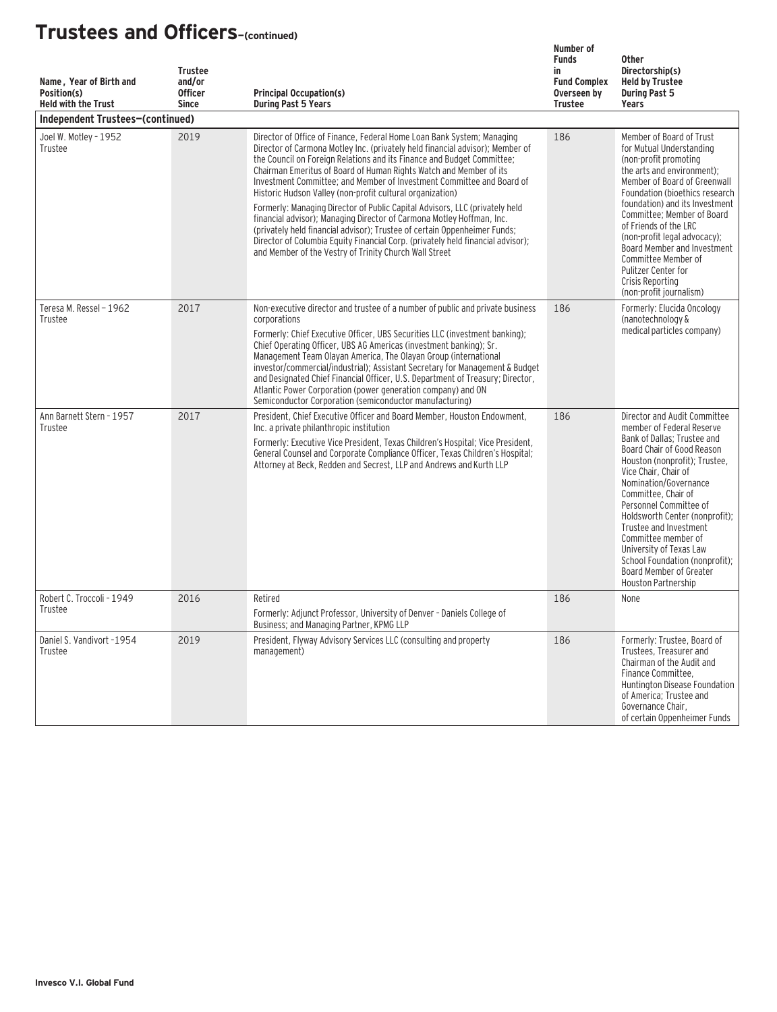| Name, Year of Birth and<br>Position(s)<br><b>Held with the Trust</b> | <b>Trustee</b><br>and/or<br><b>Officer</b><br><b>Since</b> | <b>Principal Occupation(s)</b><br><b>During Past 5 Years</b>                                                                                                                                                                                                                                                                                                                                                                                                                                                                                                                                                                                                                                                                                                                                                                    | Number of<br><b>Funds</b><br>in<br><b>Fund Complex</b><br>Overseen by<br><b>Trustee</b> | <b>Other</b><br>Directorship(s)<br><b>Held by Trustee</b><br><b>During Past 5</b><br>Years                                                                                                                                                                                                                                                                                                                                                                  |
|----------------------------------------------------------------------|------------------------------------------------------------|---------------------------------------------------------------------------------------------------------------------------------------------------------------------------------------------------------------------------------------------------------------------------------------------------------------------------------------------------------------------------------------------------------------------------------------------------------------------------------------------------------------------------------------------------------------------------------------------------------------------------------------------------------------------------------------------------------------------------------------------------------------------------------------------------------------------------------|-----------------------------------------------------------------------------------------|-------------------------------------------------------------------------------------------------------------------------------------------------------------------------------------------------------------------------------------------------------------------------------------------------------------------------------------------------------------------------------------------------------------------------------------------------------------|
| Independent Trustees-(continued)                                     |                                                            |                                                                                                                                                                                                                                                                                                                                                                                                                                                                                                                                                                                                                                                                                                                                                                                                                                 |                                                                                         |                                                                                                                                                                                                                                                                                                                                                                                                                                                             |
| Joel W. Motley - 1952<br>Trustee                                     | 2019                                                       | Director of Office of Finance, Federal Home Loan Bank System; Managing<br>Director of Carmona Motley Inc. (privately held financial advisor); Member of<br>the Council on Foreign Relations and its Finance and Budget Committee;<br>Chairman Emeritus of Board of Human Rights Watch and Member of its<br>Investment Committee; and Member of Investment Committee and Board of<br>Historic Hudson Valley (non-profit cultural organization)<br>Formerly: Managing Director of Public Capital Advisors, LLC (privately held<br>financial advisor); Managing Director of Carmona Motley Hoffman, Inc.<br>(privately held financial advisor); Trustee of certain Oppenheimer Funds;<br>Director of Columbia Equity Financial Corp. (privately held financial advisor);<br>and Member of the Vestry of Trinity Church Wall Street | 186                                                                                     | Member of Board of Trust<br>for Mutual Understanding<br>(non-profit promoting<br>the arts and environment);<br>Member of Board of Greenwall<br>Foundation (bioethics research<br>foundation) and its Investment<br>Committee; Member of Board<br>of Friends of the LRC<br>(non-profit legal advocacy);<br>Board Member and Investment<br>Committee Member of<br>Pulitzer Center for<br>Crisis Reporting<br>(non-profit journalism)                          |
| Teresa M. Ressel - 1962<br>Trustee                                   | 2017                                                       | Non-executive director and trustee of a number of public and private business<br>corporations<br>Formerly: Chief Executive Officer. UBS Securities LLC (investment banking):<br>Chief Operating Officer, UBS AG Americas (investment banking); Sr.<br>Management Team Olayan America, The Olayan Group (international<br>investor/commercial/industrial); Assistant Secretary for Management & Budget<br>and Designated Chief Financial Officer, U.S. Department of Treasury; Director,<br>Atlantic Power Corporation (power generation company) and ON<br>Semiconductor Corporation (semiconductor manufacturing)                                                                                                                                                                                                              | 186                                                                                     | Formerly: Elucida Oncology<br>(nanotechnology &<br>medical particles company)                                                                                                                                                                                                                                                                                                                                                                               |
| Ann Barnett Stern - 1957<br>Trustee                                  | 2017                                                       | President, Chief Executive Officer and Board Member, Houston Endowment.<br>Inc. a private philanthropic institution<br>Formerly: Executive Vice President, Texas Children's Hospital; Vice President,<br>General Counsel and Corporate Compliance Officer, Texas Children's Hospital;<br>Attorney at Beck, Redden and Secrest, LLP and Andrews and Kurth LLP                                                                                                                                                                                                                                                                                                                                                                                                                                                                    | 186                                                                                     | Director and Audit Committee<br>member of Federal Reserve<br>Bank of Dallas; Trustee and<br>Board Chair of Good Reason<br>Houston (nonprofit); Trustee,<br>Vice Chair, Chair of<br>Nomination/Governance<br>Committee, Chair of<br>Personnel Committee of<br>Holdsworth Center (nonprofit);<br>Trustee and Investment<br>Committee member of<br>University of Texas Law<br>School Foundation (nonprofit):<br>Board Member of Greater<br>Houston Partnership |
| Robert C. Troccoli - 1949<br>Trustee                                 | 2016                                                       | Retired<br>Formerly: Adjunct Professor, University of Denver - Daniels College of<br>Business; and Managing Partner, KPMG LLP                                                                                                                                                                                                                                                                                                                                                                                                                                                                                                                                                                                                                                                                                                   | 186                                                                                     | None                                                                                                                                                                                                                                                                                                                                                                                                                                                        |
| Daniel S. Vandivort -1954<br>Trustee                                 | 2019                                                       | President, Flyway Advisory Services LLC (consulting and property<br>management)                                                                                                                                                                                                                                                                                                                                                                                                                                                                                                                                                                                                                                                                                                                                                 | 186                                                                                     | Formerly: Trustee, Board of<br>Trustees, Treasurer and<br>Chairman of the Audit and<br>Finance Committee.<br>Huntington Disease Foundation<br>of America; Trustee and<br>Governance Chair,<br>of certain Oppenheimer Funds                                                                                                                                                                                                                                  |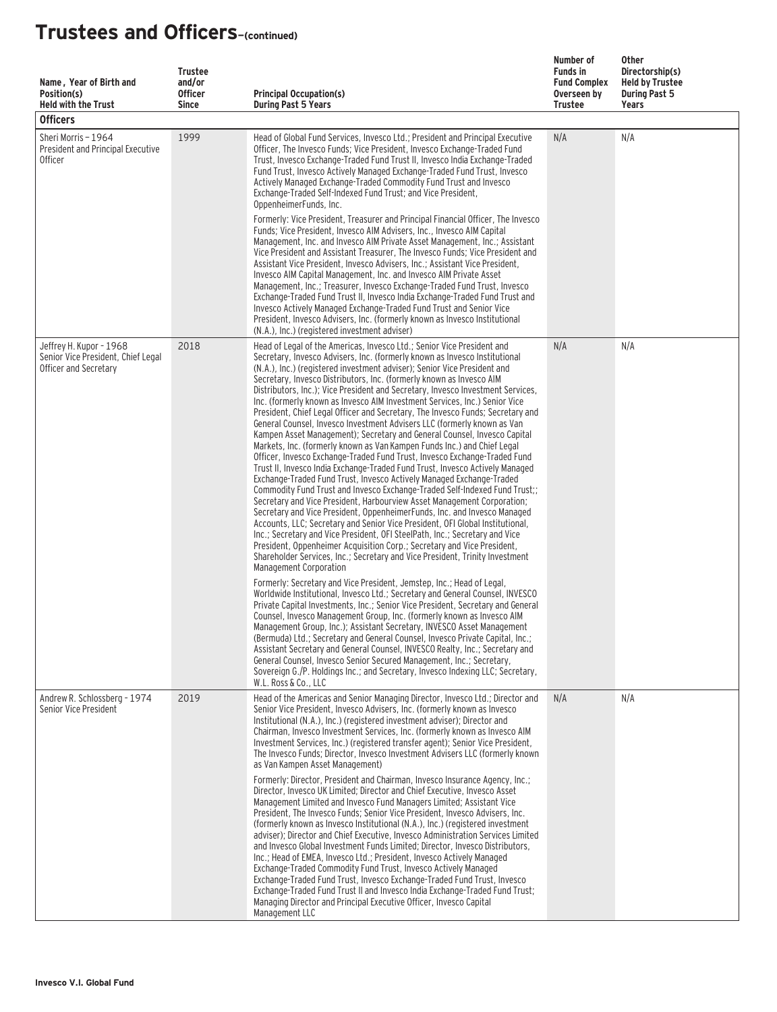| Name, Year of Birth and<br>Position(s)<br><b>Held with the Trust</b><br><b>Officers</b> | <b>Trustee</b><br>and/or<br><b>Officer</b><br><b>Since</b> | <b>Principal Occupation(s)</b><br><b>During Past 5 Years</b>                                                                                                                                                                                                                                                                                                                                                                                                                                                                                                                                                                                                                                                                                                                                                                                                                                                                                                                                                                                                                                                                                                                                                                                                                                                                                                                                                                                                                                                                                                                                                                 | Number of<br><b>Funds in</b><br><b>Fund Complex</b><br>Overseen by<br>Trustee | Other<br>Directorship(s)<br><b>Held by Trustee</b><br><b>During Past 5</b><br>Years |
|-----------------------------------------------------------------------------------------|------------------------------------------------------------|------------------------------------------------------------------------------------------------------------------------------------------------------------------------------------------------------------------------------------------------------------------------------------------------------------------------------------------------------------------------------------------------------------------------------------------------------------------------------------------------------------------------------------------------------------------------------------------------------------------------------------------------------------------------------------------------------------------------------------------------------------------------------------------------------------------------------------------------------------------------------------------------------------------------------------------------------------------------------------------------------------------------------------------------------------------------------------------------------------------------------------------------------------------------------------------------------------------------------------------------------------------------------------------------------------------------------------------------------------------------------------------------------------------------------------------------------------------------------------------------------------------------------------------------------------------------------------------------------------------------------|-------------------------------------------------------------------------------|-------------------------------------------------------------------------------------|
| Sheri Morris - 1964<br>President and Principal Executive<br><b>Officer</b>              | 1999                                                       | Head of Global Fund Services, Invesco Ltd.; President and Principal Executive<br>Officer, The Invesco Funds; Vice President, Invesco Exchange-Traded Fund<br>Trust, Invesco Exchange-Traded Fund Trust II, Invesco India Exchange-Traded<br>Fund Trust, Invesco Actively Managed Exchange-Traded Fund Trust, Invesco<br>Actively Managed Exchange-Traded Commodity Fund Trust and Invesco<br>Exchange-Traded Self-Indexed Fund Trust: and Vice President.<br>OppenheimerFunds, Inc.<br>Formerly: Vice President, Treasurer and Principal Financial Officer, The Invesco<br>Funds; Vice President, Invesco AIM Advisers, Inc., Invesco AIM Capital<br>Management, Inc. and Invesco AIM Private Asset Management, Inc.; Assistant<br>Vice President and Assistant Treasurer, The Invesco Funds; Vice President and<br>Assistant Vice President, Invesco Advisers, Inc.; Assistant Vice President,<br>Invesco AIM Capital Management, Inc. and Invesco AIM Private Asset<br>Management, Inc.; Treasurer, Invesco Exchange-Traded Fund Trust, Invesco<br>Exchange-Traded Fund Trust II, Invesco India Exchange-Traded Fund Trust and<br>Invesco Actively Managed Exchange-Traded Fund Trust and Senior Vice<br>President, Invesco Advisers, Inc. (formerly known as Invesco Institutional<br>(N.A.), Inc.) (registered investment adviser)                                                                                                                                                                                                                                                                                       | N/A                                                                           | N/A                                                                                 |
| Jeffrey H. Kupor - 1968<br>Senior Vice President, Chief Legal<br>Officer and Secretary  | 2018                                                       | Head of Legal of the Americas, Invesco Ltd.; Senior Vice President and<br>Secretary, Invesco Advisers, Inc. (formerly known as Invesco Institutional<br>(N.A.), Inc.) (registered investment adviser); Senior Vice President and<br>Secretary, Invesco Distributors, Inc. (formerly known as Invesco AIM<br>Distributors, Inc.); Vice President and Secretary, Invesco Investment Services,<br>Inc. (formerly known as Invesco AIM Investment Services, Inc.) Senior Vice<br>President, Chief Legal Officer and Secretary, The Invesco Funds; Secretary and<br>General Counsel, Invesco Investment Advisers LLC (formerly known as Van<br>Kampen Asset Management); Secretary and General Counsel, Invesco Capital<br>Markets, Inc. (formerly known as Van Kampen Funds Inc.) and Chief Legal<br>Officer, Invesco Exchange-Traded Fund Trust, Invesco Exchange-Traded Fund<br>Trust II, Invesco India Exchange-Traded Fund Trust, Invesco Actively Managed<br>Exchange-Traded Fund Trust, Invesco Actively Managed Exchange-Traded<br>Commodity Fund Trust and Invesco Exchange-Traded Self-Indexed Fund Trust;;<br>Secretary and Vice President, Harbourview Asset Management Corporation;<br>Secretary and Vice President, OppenheimerFunds, Inc. and Invesco Managed<br>Accounts, LLC; Secretary and Senior Vice President, OFI Global Institutional,<br>Inc.; Secretary and Vice President, OFI SteelPath, Inc.; Secretary and Vice<br>President, Oppenheimer Acquisition Corp.; Secretary and Vice President,<br>Shareholder Services, Inc.; Secretary and Vice President, Trinity Investment<br>Management Corporation | N/A                                                                           | N/A                                                                                 |
|                                                                                         |                                                            | Formerly: Secretary and Vice President, Jemstep, Inc.; Head of Legal,<br>Worldwide Institutional, Invesco Ltd.; Secretary and General Counsel, INVESCO<br>Private Capital Investments, Inc.; Senior Vice President, Secretary and General<br>Counsel, Invesco Management Group, Inc. (formerly known as Invesco AIM<br>Management Group, Inc.); Assistant Secretary, INVESCO Asset Management<br>(Bermuda) Ltd.; Secretary and General Counsel, Invesco Private Capital, Inc.;<br>Assistant Secretary and General Counsel, INVESCO Realty, Inc.; Secretary and<br>General Counsel, Invesco Senior Secured Management, Inc.; Secretary,<br>Sovereign G./P. Holdings Inc.; and Secretary, Invesco Indexing LLC; Secretary,<br>W.L. Ross & Co., LLC                                                                                                                                                                                                                                                                                                                                                                                                                                                                                                                                                                                                                                                                                                                                                                                                                                                                             |                                                                               |                                                                                     |
| Andrew R. Schlossberg - 1974<br>Senior Vice President                                   | 2019                                                       | Head of the Americas and Senior Managing Director, Invesco Ltd.; Director and<br>Senior Vice President, Invesco Advisers, Inc. (formerly known as Invesco<br>Institutional (N.A.), Inc.) (registered investment adviser); Director and<br>Chairman, Invesco Investment Services, Inc. (formerly known as Invesco AIM<br>Investment Services, Inc.) (registered transfer agent); Senior Vice President,<br>The Invesco Funds: Director, Invesco Investment Advisers LLC (formerly known<br>as Van Kampen Asset Management)<br>Formerly: Director, President and Chairman, Invesco Insurance Agency, Inc.:<br>Director, Invesco UK Limited; Director and Chief Executive, Invesco Asset<br>Management Limited and Invesco Fund Managers Limited; Assistant Vice<br>President, The Invesco Funds; Senior Vice President, Invesco Advisers, Inc.<br>(formerly known as Invesco Institutional (N.A.), Inc.) (registered investment<br>adviser); Director and Chief Executive, Invesco Administration Services Limited<br>and Invesco Global Investment Funds Limited; Director, Invesco Distributors,<br>Inc.; Head of EMEA, Invesco Ltd.; President, Invesco Actively Managed<br>Exchange-Traded Commodity Fund Trust, Invesco Actively Managed<br>Exchange-Traded Fund Trust, Invesco Exchange-Traded Fund Trust, Invesco<br>Exchange-Traded Fund Trust II and Invesco India Exchange-Traded Fund Trust;<br>Managing Director and Principal Executive Officer, Invesco Capital                                                                                                                                                  | N/A                                                                           | N/A                                                                                 |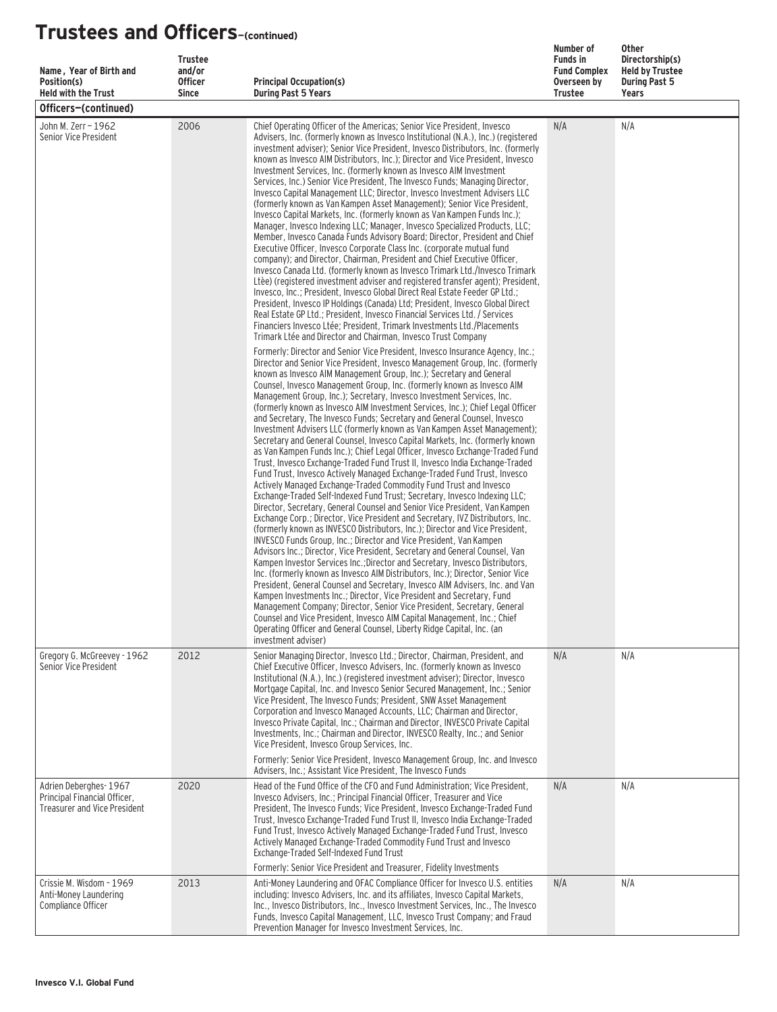| Name, Year of Birth and<br>Position(s)<br><b>Held with the Trust</b>                         | <b>Trustee</b><br>and/or<br><b>Officer</b><br><b>Since</b> | <b>Principal Occupation(s)</b><br><b>During Past 5 Years</b>                                                                                                                                                                                                                                                                                                                                                                                                                                                                                                                                                                                                                                                                                                                                                                                                                                                                                                                                                                                                                                                                                                                                                                                                                                                                                                                                                                                                                                                                                                                                                                                                                                                                                                                                                                                                                                                                                                                                                                                                                                          | Number of<br><b>Funds in</b><br><b>Fund Complex</b><br>Overseen by<br><b>Trustee</b> | <b>Other</b><br>Directorship(s)<br><b>Held by Trustee</b><br><b>During Past 5</b><br><b>Years</b> |
|----------------------------------------------------------------------------------------------|------------------------------------------------------------|-------------------------------------------------------------------------------------------------------------------------------------------------------------------------------------------------------------------------------------------------------------------------------------------------------------------------------------------------------------------------------------------------------------------------------------------------------------------------------------------------------------------------------------------------------------------------------------------------------------------------------------------------------------------------------------------------------------------------------------------------------------------------------------------------------------------------------------------------------------------------------------------------------------------------------------------------------------------------------------------------------------------------------------------------------------------------------------------------------------------------------------------------------------------------------------------------------------------------------------------------------------------------------------------------------------------------------------------------------------------------------------------------------------------------------------------------------------------------------------------------------------------------------------------------------------------------------------------------------------------------------------------------------------------------------------------------------------------------------------------------------------------------------------------------------------------------------------------------------------------------------------------------------------------------------------------------------------------------------------------------------------------------------------------------------------------------------------------------------|--------------------------------------------------------------------------------------|---------------------------------------------------------------------------------------------------|
| Officers-(continued)                                                                         |                                                            |                                                                                                                                                                                                                                                                                                                                                                                                                                                                                                                                                                                                                                                                                                                                                                                                                                                                                                                                                                                                                                                                                                                                                                                                                                                                                                                                                                                                                                                                                                                                                                                                                                                                                                                                                                                                                                                                                                                                                                                                                                                                                                       |                                                                                      |                                                                                                   |
| John M. Zerr - 1962<br>Senior Vice President                                                 | 2006                                                       | Chief Operating Officer of the Americas; Senior Vice President, Invesco<br>Advisers, Inc. (formerly known as Invesco Institutional (N.A.), Inc.) (registered<br>investment adviser); Senior Vice President, Invesco Distributors, Inc. (formerly<br>known as Invesco AIM Distributors, Inc.); Director and Vice President, Invesco<br>Investment Services, Inc. (formerly known as Invesco AIM Investment<br>Services, Inc.) Senior Vice President, The Invesco Funds; Managing Director,<br>Invesco Capital Management LLC; Director, Invesco Investment Advisers LLC<br>(formerly known as Van Kampen Asset Management); Senior Vice President,<br>Invesco Capital Markets, Inc. (formerly known as Van Kampen Funds Inc.);<br>Manager, Invesco Indexing LLC; Manager, Invesco Specialized Products, LLC;<br>Member, Invesco Canada Funds Advisory Board; Director, President and Chief<br>Executive Officer, Invesco Corporate Class Inc. (corporate mutual fund<br>company); and Director, Chairman, President and Chief Executive Officer,<br>Invesco Canada Ltd. (formerly known as Invesco Trimark Ltd./Invesco Trimark<br>Ltèe) (registered investment adviser and registered transfer agent); President,<br>Invesco, Inc.; President, Invesco Global Direct Real Estate Feeder GP Ltd.;<br>President, Invesco IP Holdings (Canada) Ltd: President, Invesco Global Direct<br>Real Estate GP Ltd.; President, Invesco Financial Services Ltd. / Services<br>Financiers Invesco Ltée: President, Trimark Investments Ltd./Placements<br>Trimark Ltée and Director and Chairman, Invesco Trust Company                                                                                                                                                                                                                                                                                                                                                                                                                                                                                           | N/A                                                                                  | N/A                                                                                               |
|                                                                                              |                                                            | Formerly: Director and Senior Vice President, Invesco Insurance Agency, Inc.;<br>Director and Senior Vice President, Invesco Management Group, Inc. (formerly<br>known as Invesco AIM Management Group, Inc.); Secretary and General<br>Counsel, Invesco Management Group, Inc. (formerly known as Invesco AIM<br>Management Group, Inc.); Secretary, Invesco Investment Services, Inc.<br>(formerly known as Invesco AIM Investment Services, Inc.); Chief Legal Officer<br>and Secretary, The Invesco Funds; Secretary and General Counsel, Invesco<br>Investment Advisers LLC (formerly known as Van Kampen Asset Management);<br>Secretary and General Counsel, Invesco Capital Markets, Inc. (formerly known<br>as Van Kampen Funds Inc.); Chief Legal Officer, Invesco Exchange-Traded Fund<br>Trust, Invesco Exchange-Traded Fund Trust II, Invesco India Exchange-Traded<br>Fund Trust, Invesco Actively Managed Exchange-Traded Fund Trust, Invesco<br>Actively Managed Exchange-Traded Commodity Fund Trust and Invesco<br>Exchange-Traded Self-Indexed Fund Trust; Secretary, Invesco Indexing LLC;<br>Director, Secretary, General Counsel and Senior Vice President, Van Kampen<br>Exchange Corp.; Director, Vice President and Secretary, IVZ Distributors, Inc.<br>(formerly known as INVESCO Distributors, Inc.); Director and Vice President,<br>INVESCO Funds Group, Inc.; Director and Vice President, Van Kampen<br>Advisors Inc.; Director, Vice President, Secretary and General Counsel, Van<br>Kampen Investor Services Inc.: Director and Secretary, Invesco Distributors.<br>Inc. (formerly known as Invesco AIM Distributors, Inc.); Director, Senior Vice<br>President, General Counsel and Secretary, Invesco AIM Advisers, Inc. and Van<br>Kampen Investments Inc.; Director, Vice President and Secretary, Fund<br>Management Company; Director, Senior Vice President, Secretary, General<br>Counsel and Vice President, Invesco AIM Capital Management, Inc.; Chief<br>Operating Officer and General Counsel, Liberty Ridge Capital, Inc. (an<br>investment adviser) |                                                                                      |                                                                                                   |
| Gregory G. McGreevey - 1962<br>Senior Vice President                                         | 2012                                                       | Senior Managing Director, Invesco Ltd.; Director, Chairman, President, and<br>Chief Executive Officer, Invesco Advisers, Inc. (formerly known as Invesco<br>Institutional (N.A.), Inc.) (registered investment adviser); Director, Invesco<br>Mortgage Capital, Inc. and Invesco Senior Secured Management, Inc.; Senior<br>Vice President. The Invesco Funds: President. SNW Asset Management<br>Corporation and Invesco Managed Accounts, LLC; Chairman and Director,<br>Invesco Private Capital, Inc.; Chairman and Director, INVESCO Private Capital<br>Investments, Inc.; Chairman and Director, INVESCO Realty, Inc.; and Senior<br>Vice President, Invesco Group Services, Inc.<br>Formerly: Senior Vice President, Invesco Management Group, Inc. and Invesco                                                                                                                                                                                                                                                                                                                                                                                                                                                                                                                                                                                                                                                                                                                                                                                                                                                                                                                                                                                                                                                                                                                                                                                                                                                                                                                                 | N/A                                                                                  | N/A                                                                                               |
| Adrien Deberghes-1967<br>Principal Financial Officer,<br><b>Treasurer and Vice President</b> | 2020                                                       | Advisers, Inc.; Assistant Vice President, The Invesco Funds<br>Head of the Fund Office of the CFO and Fund Administration; Vice President,<br>Invesco Advisers, Inc.; Principal Financial Officer, Treasurer and Vice<br>President, The Invesco Funds; Vice President, Invesco Exchange-Traded Fund<br>Trust, Invesco Exchange-Traded Fund Trust II, Invesco India Exchange-Traded<br>Fund Trust, Invesco Actively Managed Exchange-Traded Fund Trust, Invesco<br>Actively Managed Exchange-Traded Commodity Fund Trust and Invesco<br>Exchange-Traded Self-Indexed Fund Trust<br>Formerly: Senior Vice President and Treasurer, Fidelity Investments                                                                                                                                                                                                                                                                                                                                                                                                                                                                                                                                                                                                                                                                                                                                                                                                                                                                                                                                                                                                                                                                                                                                                                                                                                                                                                                                                                                                                                                 | N/A                                                                                  | N/A                                                                                               |
| Crissie M. Wisdom - 1969<br>Anti-Money Laundering<br>Compliance Officer                      | 2013                                                       | Anti-Money Laundering and OFAC Compliance Officer for Invesco U.S. entities<br>including: Invesco Advisers, Inc. and its affiliates, Invesco Capital Markets,<br>Inc., Invesco Distributors, Inc., Invesco Investment Services, Inc., The Invesco<br>Funds, Invesco Capital Management, LLC, Invesco Trust Company; and Fraud<br>Prevention Manager for Invesco Investment Services, Inc.                                                                                                                                                                                                                                                                                                                                                                                                                                                                                                                                                                                                                                                                                                                                                                                                                                                                                                                                                                                                                                                                                                                                                                                                                                                                                                                                                                                                                                                                                                                                                                                                                                                                                                             | N/A                                                                                  | N/A                                                                                               |